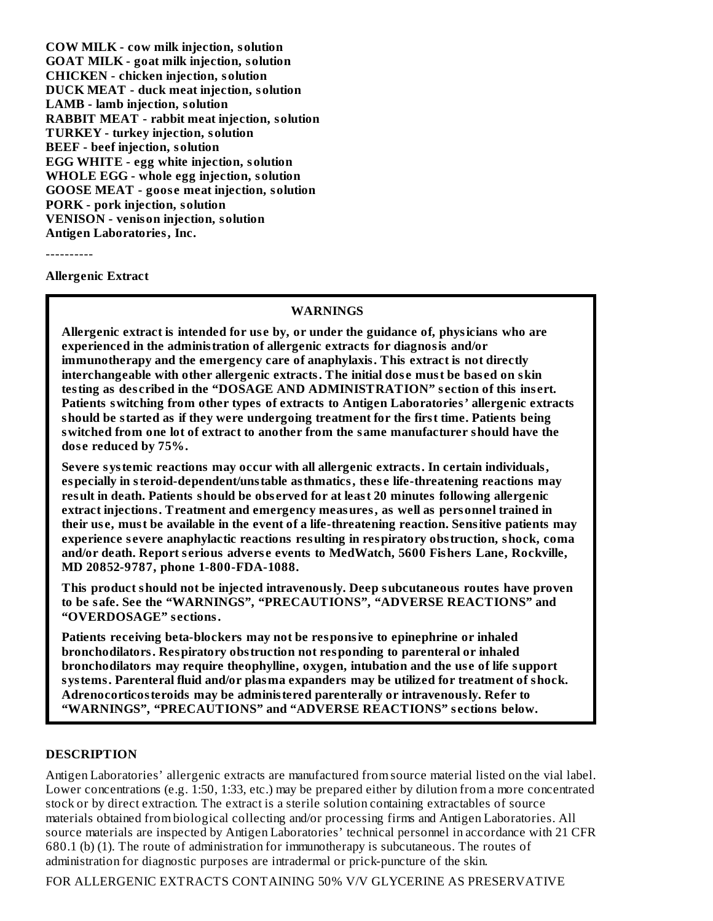**COW MILK - cow milk injection, solution GOAT MILK - goat milk injection, solution CHICKEN - chicken injection, solution DUCK MEAT - duck meat injection, solution LAMB - lamb injection, solution RABBIT MEAT - rabbit meat injection, solution TURKEY - turkey injection, solution BEEF - beef injection, solution EGG WHITE - egg white injection, solution WHOLE EGG - whole egg injection, solution GOOSE MEAT - goos e meat injection, solution PORK - pork injection, solution VENISON - venison injection, solution Antigen Laboratories, Inc.**

----------

**Allergenic Extract**

#### **WARNINGS**

**Allergenic extract is intended for us e by, or under the guidance of, physicians who are experienced in the administration of allergenic extracts for diagnosis and/or immunotherapy and the emergency care of anaphylaxis. This extract is not directly interchangeable with other allergenic extracts. The initial dos e must be bas ed on skin testing as des cribed in the "DOSAGE AND ADMINISTRATION" s ection of this ins ert. Patients switching from other types of extracts to Antigen Laboratories' allergenic extracts should be started as if they were undergoing treatment for the first time. Patients being switched from one lot of extract to another from the same manufacturer should have the dos e reduced by 75%.**

**Severe systemic reactions may occur with all allergenic extracts. In certain individuals, especially in steroid-dependent/unstable asthmatics, thes e life-threatening reactions may result in death. Patients should be obs erved for at least 20 minutes following allergenic extract injections. Treatment and emergency measures, as well as personnel trained in their us e, must be available in the event of a life-threatening reaction. Sensitive patients may experience s evere anaphylactic reactions resulting in respiratory obstruction, shock, coma and/or death. Report s erious advers e events to MedWatch, 5600 Fishers Lane, Rockville, MD 20852-9787, phone 1-800-FDA-1088.**

**This product should not be injected intravenously. Deep subcutaneous routes have proven to be safe. See the "WARNINGS", "PRECAUTIONS", "ADVERSE REACTIONS" and "OVERDOSAGE" s ections.**

**Patients receiving beta-blockers may not be responsive to epinephrine or inhaled bronchodilators. Respiratory obstruction not responding to parenteral or inhaled bronchodilators may require theophylline, oxygen, intubation and the us e of life support systems. Parenteral fluid and/or plasma expanders may be utilized for treatment of shock. Adrenocorticosteroids may be administered parenterally or intravenously. Refer to "WARNINGS", "PRECAUTIONS" and "ADVERSE REACTIONS" s ections below.**

#### **DESCRIPTION**

Antigen Laboratories' allergenic extracts are manufactured from source material listed on the vial label. Lower concentrations (e.g. 1:50, 1:33, etc.) may be prepared either by dilution from a more concentrated stock or by direct extraction. The extract is a sterile solution containing extractables of source materials obtained from biological collecting and/or processing firms and Antigen Laboratories. All source materials are inspected by Antigen Laboratories' technical personnel in accordance with 21 CFR 680.1 (b) (1). The route of administration for immunotherapy is subcutaneous. The routes of administration for diagnostic purposes are intradermal or prick-puncture of the skin.

FOR ALLERGENIC EXTRACTS CONTAINING 50% V/V GLYCERINE AS PRESERVATIVE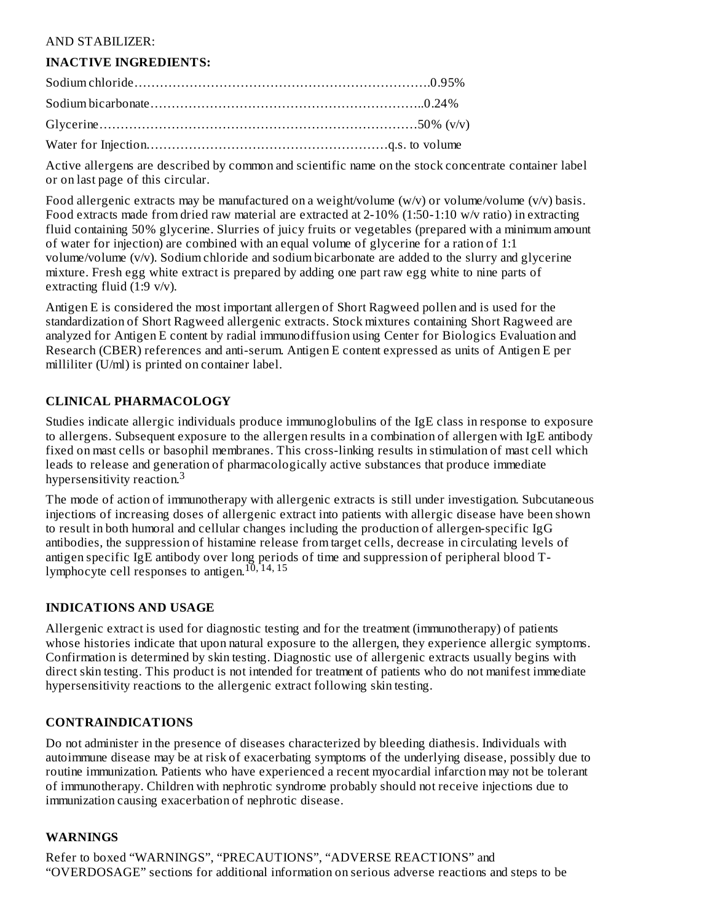#### AND STABILIZER:

#### **INACTIVE INGREDIENTS:**

Active allergens are described by common and scientific name on the stock concentrate container label or on last page of this circular.

Food allergenic extracts may be manufactured on a weight/volume  $(w/v)$  or volume/volume  $(v/v)$  basis. Food extracts made from dried raw material are extracted at 2-10% (1:50-1:10 w/v ratio) in extracting fluid containing 50% glycerine. Slurries of juicy fruits or vegetables (prepared with a minimum amount of water for injection) are combined with an equal volume of glycerine for a ration of 1:1 volume/volume (v/v). Sodium chloride and sodium bicarbonate are added to the slurry and glycerine mixture. Fresh egg white extract is prepared by adding one part raw egg white to nine parts of extracting fluid (1:9 v/v).

Antigen E is considered the most important allergen of Short Ragweed pollen and is used for the standardization of Short Ragweed allergenic extracts. Stock mixtures containing Short Ragweed are analyzed for Antigen E content by radial immunodiffusion using Center for Biologics Evaluation and Research (CBER) references and anti-serum. Antigen E content expressed as units of Antigen E per milliliter (U/ml) is printed on container label.

#### **CLINICAL PHARMACOLOGY**

Studies indicate allergic individuals produce immunoglobulins of the IgE class in response to exposure to allergens. Subsequent exposure to the allergen results in a combination of allergen with IgE antibody fixed on mast cells or basophil membranes. This cross-linking results in stimulation of mast cell which leads to release and generation of pharmacologically active substances that produce immediate hypersensitivity reaction.<sup>3</sup>

The mode of action of immunotherapy with allergenic extracts is still under investigation. Subcutaneous injections of increasing doses of allergenic extract into patients with allergic disease have been shown to result in both humoral and cellular changes including the production of allergen-specific IgG antibodies, the suppression of histamine release from target cells, decrease in circulating levels of antigen specific IgE antibody over long periods of time and suppression of peripheral blood Tlymphocyte cell responses to antigen.<sup>10,14,15</sup>

#### **INDICATIONS AND USAGE**

Allergenic extract is used for diagnostic testing and for the treatment (immunotherapy) of patients whose histories indicate that upon natural exposure to the allergen, they experience allergic symptoms. Confirmation is determined by skin testing. Diagnostic use of allergenic extracts usually begins with direct skin testing. This product is not intended for treatment of patients who do not manifest immediate hypersensitivity reactions to the allergenic extract following skin testing.

#### **CONTRAINDICATIONS**

Do not administer in the presence of diseases characterized by bleeding diathesis. Individuals with autoimmune disease may be at risk of exacerbating symptoms of the underlying disease, possibly due to routine immunization. Patients who have experienced a recent myocardial infarction may not be tolerant of immunotherapy. Children with nephrotic syndrome probably should not receive injections due to immunization causing exacerbation of nephrotic disease.

#### **WARNINGS**

Refer to boxed "WARNINGS", "PRECAUTIONS", "ADVERSE REACTIONS" and "OVERDOSAGE" sections for additional information on serious adverse reactions and steps to be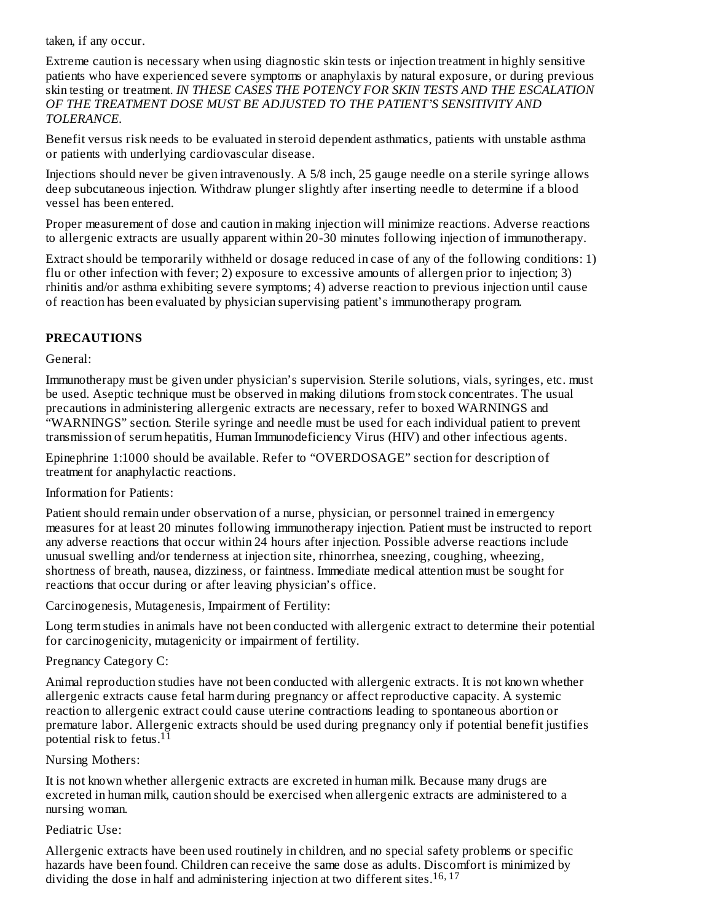taken, if any occur.

Extreme caution is necessary when using diagnostic skin tests or injection treatment in highly sensitive patients who have experienced severe symptoms or anaphylaxis by natural exposure, or during previous skin testing or treatment. *IN THESE CASES THE POTENCY FOR SKIN TESTS AND THE ESCALATION OF THE TREATMENT DOSE MUST BE ADJUSTED TO THE PATIENT'S SENSITIVITY AND TOLERANCE.*

Benefit versus risk needs to be evaluated in steroid dependent asthmatics, patients with unstable asthma or patients with underlying cardiovascular disease.

Injections should never be given intravenously. A 5/8 inch, 25 gauge needle on a sterile syringe allows deep subcutaneous injection. Withdraw plunger slightly after inserting needle to determine if a blood vessel has been entered.

Proper measurement of dose and caution in making injection will minimize reactions. Adverse reactions to allergenic extracts are usually apparent within 20-30 minutes following injection of immunotherapy.

Extract should be temporarily withheld or dosage reduced in case of any of the following conditions: 1) flu or other infection with fever; 2) exposure to excessive amounts of allergen prior to injection; 3) rhinitis and/or asthma exhibiting severe symptoms; 4) adverse reaction to previous injection until cause of reaction has been evaluated by physician supervising patient's immunotherapy program.

## **PRECAUTIONS**

General:

Immunotherapy must be given under physician's supervision. Sterile solutions, vials, syringes, etc. must be used. Aseptic technique must be observed in making dilutions from stock concentrates. The usual precautions in administering allergenic extracts are necessary, refer to boxed WARNINGS and "WARNINGS" section. Sterile syringe and needle must be used for each individual patient to prevent transmission of serum hepatitis, Human Immunodeficiency Virus (HIV) and other infectious agents.

Epinephrine 1:1000 should be available. Refer to "OVERDOSAGE" section for description of treatment for anaphylactic reactions.

Information for Patients:

Patient should remain under observation of a nurse, physician, or personnel trained in emergency measures for at least 20 minutes following immunotherapy injection. Patient must be instructed to report any adverse reactions that occur within 24 hours after injection. Possible adverse reactions include unusual swelling and/or tenderness at injection site, rhinorrhea, sneezing, coughing, wheezing, shortness of breath, nausea, dizziness, or faintness. Immediate medical attention must be sought for reactions that occur during or after leaving physician's office.

Carcinogenesis, Mutagenesis, Impairment of Fertility:

Long term studies in animals have not been conducted with allergenic extract to determine their potential for carcinogenicity, mutagenicity or impairment of fertility.

#### Pregnancy Category C:

Animal reproduction studies have not been conducted with allergenic extracts. It is not known whether allergenic extracts cause fetal harm during pregnancy or affect reproductive capacity. A systemic reaction to allergenic extract could cause uterine contractions leading to spontaneous abortion or premature labor. Allergenic extracts should be used during pregnancy only if potential benefit justifies .<br>potential risk to fetus.<sup>11</sup>

#### Nursing Mothers:

It is not known whether allergenic extracts are excreted in human milk. Because many drugs are excreted in human milk, caution should be exercised when allergenic extracts are administered to a nursing woman.

#### Pediatric Use:

Allergenic extracts have been used routinely in children, and no special safety problems or specific hazards have been found. Children can receive the same dose as adults. Discomfort is minimized by dividing the dose in half and administering injection at two different sites. 16, 17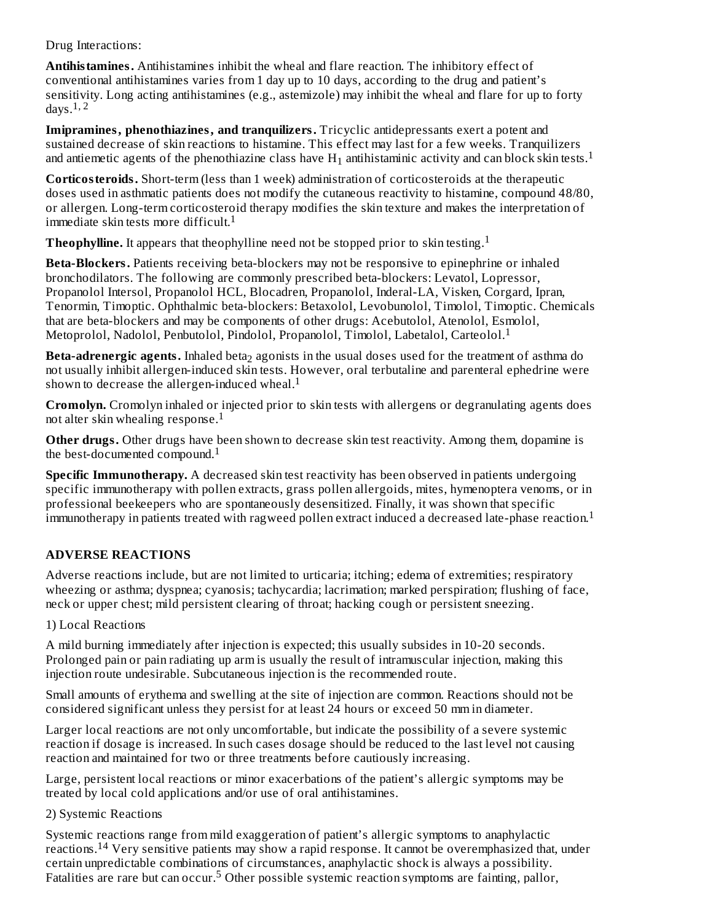Drug Interactions:

**Antihistamines.** Antihistamines inhibit the wheal and flare reaction. The inhibitory effect of conventional antihistamines varies from 1 day up to 10 days, according to the drug and patient's sensitivity. Long acting antihistamines (e.g., astemizole) may inhibit the wheal and flare for up to forty days. $1, 2$ 

**Imipramines, phenothiazines, and tranquilizers.** Tricyclic antidepressants exert a potent and sustained decrease of skin reactions to histamine. This effect may last for a few weeks. Tranquilizers and antiemetic agents of the phenothiazine class have  $H_1$  antihistaminic activity and can block skin tests.<sup>1</sup>

**Corticosteroids.** Short-term (less than 1 week) administration of corticosteroids at the therapeutic doses used in asthmatic patients does not modify the cutaneous reactivity to histamine, compound 48/80, or allergen. Long-term corticosteroid therapy modifies the skin texture and makes the interpretation of immediate skin tests more difficult. 1

**Theophylline.** It appears that theophylline need not be stopped prior to skin testing. 1

**Beta-Blockers.** Patients receiving beta-blockers may not be responsive to epinephrine or inhaled bronchodilators. The following are commonly prescribed beta-blockers: Levatol, Lopressor, Propanolol Intersol, Propanolol HCL, Blocadren, Propanolol, Inderal-LA, Visken, Corgard, Ipran, Tenormin, Timoptic. Ophthalmic beta-blockers: Betaxolol, Levobunolol, Timolol, Timoptic. Chemicals that are beta-blockers and may be components of other drugs: Acebutolol, Atenolol, Esmolol, Metoprolol, Nadolol, Penbutolol, Pindolol, Propanolol, Timolol, Labetalol, Carteolol.<sup>1</sup>

Beta-adrenergic agents. Inhaled beta<sub>2</sub> agonists in the usual doses used for the treatment of asthma do not usually inhibit allergen-induced skin tests. However, oral terbutaline and parenteral ephedrine were shown to decrease the allergen-induced wheal.<sup>1</sup>

**Cromolyn.** Cromolyn inhaled or injected prior to skin tests with allergens or degranulating agents does not alter skin whealing response. 1

**Other drugs.** Other drugs have been shown to decrease skin test reactivity. Among them, dopamine is the best-documented compound. 1

**Specific Immunotherapy.** A decreased skin test reactivity has been observed in patients undergoing specific immunotherapy with pollen extracts, grass pollen allergoids, mites, hymenoptera venoms, or in professional beekeepers who are spontaneously desensitized. Finally, it was shown that specific  $\dot{1}$ mmunotherapy in patients treated with ragweed pollen extract induced a decreased late-phase reaction. $^1$ 

## **ADVERSE REACTIONS**

Adverse reactions include, but are not limited to urticaria; itching; edema of extremities; respiratory wheezing or asthma; dyspnea; cyanosis; tachycardia; lacrimation; marked perspiration; flushing of face, neck or upper chest; mild persistent clearing of throat; hacking cough or persistent sneezing.

#### 1) Local Reactions

A mild burning immediately after injection is expected; this usually subsides in 10-20 seconds. Prolonged pain or pain radiating up arm is usually the result of intramuscular injection, making this injection route undesirable. Subcutaneous injection is the recommended route.

Small amounts of erythema and swelling at the site of injection are common. Reactions should not be considered significant unless they persist for at least 24 hours or exceed 50 mm in diameter.

Larger local reactions are not only uncomfortable, but indicate the possibility of a severe systemic reaction if dosage is increased. In such cases dosage should be reduced to the last level not causing reaction and maintained for two or three treatments before cautiously increasing.

Large, persistent local reactions or minor exacerbations of the patient's allergic symptoms may be treated by local cold applications and/or use of oral antihistamines.

#### 2) Systemic Reactions

Systemic reactions range from mild exaggeration of patient's allergic symptoms to anaphylactic  $r$ eactions.<sup>14</sup> Very sensitive patients may show a rapid response. It cannot be overemphasized that, under certain unpredictable combinations of circumstances, anaphylactic shock is always a possibility. Fatalities are rare but can occur.<sup>5</sup> Other possible systemic reaction symptoms are fainting, pallor,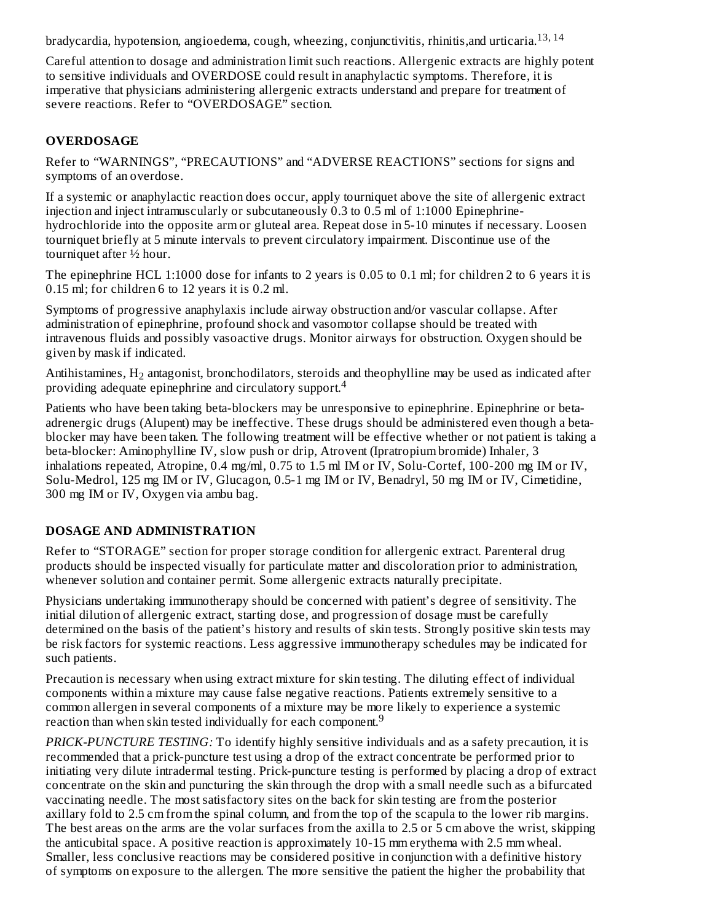bradycardia, hypotension, angioedema, cough, wheezing, conjunctivitis, rhinitis,and urticaria. 13, 14

Careful attention to dosage and administration limit such reactions. Allergenic extracts are highly potent to sensitive individuals and OVERDOSE could result in anaphylactic symptoms. Therefore, it is imperative that physicians administering allergenic extracts understand and prepare for treatment of severe reactions. Refer to "OVERDOSAGE" section.

#### **OVERDOSAGE**

Refer to "WARNINGS", "PRECAUTIONS" and "ADVERSE REACTIONS" sections for signs and symptoms of an overdose.

If a systemic or anaphylactic reaction does occur, apply tourniquet above the site of allergenic extract injection and inject intramuscularly or subcutaneously 0.3 to 0.5 ml of 1:1000 Epinephrinehydrochloride into the opposite arm or gluteal area. Repeat dose in 5-10 minutes if necessary. Loosen tourniquet briefly at 5 minute intervals to prevent circulatory impairment. Discontinue use of the tourniquet after ½ hour.

The epinephrine HCL 1:1000 dose for infants to 2 years is 0.05 to 0.1 ml; for children 2 to 6 years it is 0.15 ml; for children 6 to 12 years it is 0.2 ml.

Symptoms of progressive anaphylaxis include airway obstruction and/or vascular collapse. After administration of epinephrine, profound shock and vasomotor collapse should be treated with intravenous fluids and possibly vasoactive drugs. Monitor airways for obstruction. Oxygen should be given by mask if indicated.

Antihistamines,  $H_2$  antagonist, bronchodilators, steroids and theophylline may be used as indicated after providing adequate epinephrine and circulatory support. 4

Patients who have been taking beta-blockers may be unresponsive to epinephrine. Epinephrine or betaadrenergic drugs (Alupent) may be ineffective. These drugs should be administered even though a betablocker may have been taken. The following treatment will be effective whether or not patient is taking a beta-blocker: Aminophylline IV, slow push or drip, Atrovent (Ipratropium bromide) Inhaler, 3 inhalations repeated, Atropine, 0.4 mg/ml, 0.75 to 1.5 ml IM or IV, Solu-Cortef, 100-200 mg IM or IV, Solu-Medrol, 125 mg IM or IV, Glucagon, 0.5-1 mg IM or IV, Benadryl, 50 mg IM or IV, Cimetidine, 300 mg IM or IV, Oxygen via ambu bag.

## **DOSAGE AND ADMINISTRATION**

Refer to "STORAGE" section for proper storage condition for allergenic extract. Parenteral drug products should be inspected visually for particulate matter and discoloration prior to administration, whenever solution and container permit. Some allergenic extracts naturally precipitate.

Physicians undertaking immunotherapy should be concerned with patient's degree of sensitivity. The initial dilution of allergenic extract, starting dose, and progression of dosage must be carefully determined on the basis of the patient's history and results of skin tests. Strongly positive skin tests may be risk factors for systemic reactions. Less aggressive immunotherapy schedules may be indicated for such patients.

Precaution is necessary when using extract mixture for skin testing. The diluting effect of individual components within a mixture may cause false negative reactions. Patients extremely sensitive to a common allergen in several components of a mixture may be more likely to experience a systemic reaction than when skin tested individually for each component.<sup>9</sup>

*PRICK-PUNCTURE TESTING:* To identify highly sensitive individuals and as a safety precaution, it is recommended that a prick-puncture test using a drop of the extract concentrate be performed prior to initiating very dilute intradermal testing. Prick-puncture testing is performed by placing a drop of extract concentrate on the skin and puncturing the skin through the drop with a small needle such as a bifurcated vaccinating needle. The most satisfactory sites on the back for skin testing are from the posterior axillary fold to 2.5 cm from the spinal column, and from the top of the scapula to the lower rib margins. The best areas on the arms are the volar surfaces from the axilla to 2.5 or 5 cm above the wrist, skipping the anticubital space. A positive reaction is approximately 10-15 mm erythema with 2.5 mm wheal. Smaller, less conclusive reactions may be considered positive in conjunction with a definitive history of symptoms on exposure to the allergen. The more sensitive the patient the higher the probability that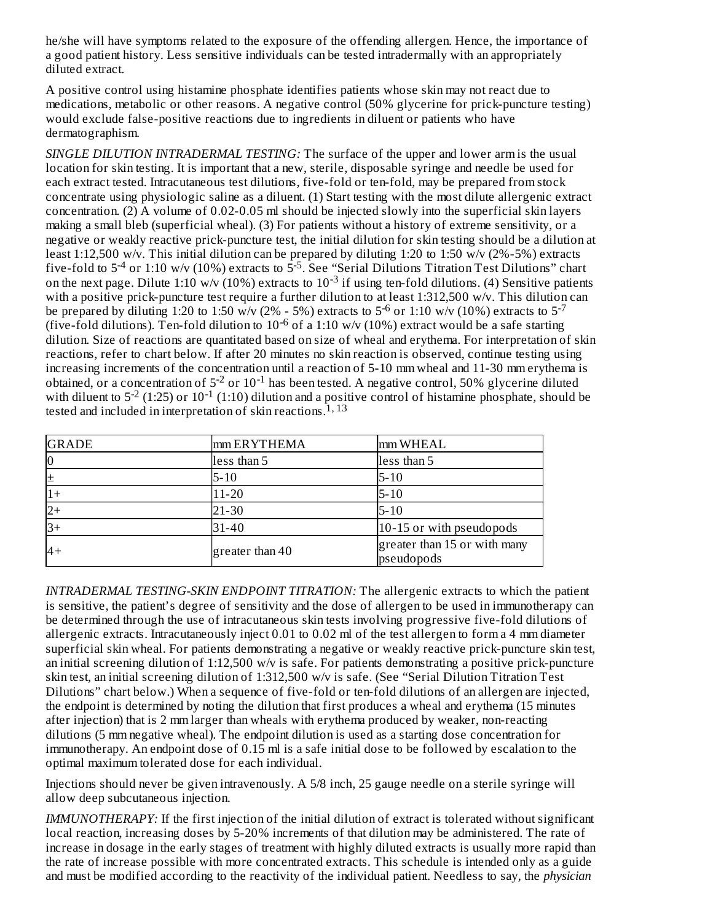he/she will have symptoms related to the exposure of the offending allergen. Hence, the importance of a good patient history. Less sensitive individuals can be tested intradermally with an appropriately diluted extract.

A positive control using histamine phosphate identifies patients whose skin may not react due to medications, metabolic or other reasons. A negative control (50% glycerine for prick-puncture testing) would exclude false-positive reactions due to ingredients in diluent or patients who have dermatographism.

*SINGLE DILUTION INTRADERMAL TESTING:* The surface of the upper and lower arm is the usual location for skin testing. It is important that a new, sterile, disposable syringe and needle be used for each extract tested. Intracutaneous test dilutions, five-fold or ten-fold, may be prepared from stock concentrate using physiologic saline as a diluent. (1) Start testing with the most dilute allergenic extract concentration. (2) A volume of 0.02-0.05 ml should be injected slowly into the superficial skin layers making a small bleb (superficial wheal). (3) For patients without a history of extreme sensitivity, or a negative or weakly reactive prick-puncture test, the initial dilution for skin testing should be a dilution at least 1:12,500 w/v. This initial dilution can be prepared by diluting 1:20 to 1:50 w/v (2%-5%) extracts five-fold to 5<sup>-4</sup> or 1:10 w/v (10%) extracts to 5<sup>-5</sup>. See "Serial Dilutions Titration Test Dilutions" chart on the next page. Dilute 1:10 w/v (10%) extracts to  $10^{-3}$  if using ten-fold dilutions. (4) Sensitive patients with a positive prick-puncture test require a further dilution to at least 1:312,500 w/v. This dilution can be prepared by diluting 1:20 to 1:50 w/v (2% - 5%) extracts to 5<sup>-6</sup> or 1:10 w/v (10%) extracts to 5<sup>-7</sup> (five-fold dilutions). Ten-fold dilution to  $10^{-6}$  of a 1:10 w/v (10%) extract would be a safe starting dilution. Size of reactions are quantitated based on size of wheal and erythema. For interpretation of skin reactions, refer to chart below. If after 20 minutes no skin reaction is observed, continue testing using increasing increments of the concentration until a reaction of 5-10 mm wheal and 11-30 mm erythema is obtained, or a concentration of  $5^{-2}$  or  $10^{-1}$  has been tested. A negative control, 50% glycerine diluted with diluent to  $5^{-2}$  (1:25) or  $10^{-1}$  (1:10) dilution and a positive control of histamine phosphate, should be tested and included in interpretation of skin reactions.  $^{1,13}$  $-4$  or 1:10 w/y (10%) extracts to  $5-5$ -3

| <b>GRADE</b> | mm ERYTHEMA     | mm WHEAL                                   |
|--------------|-----------------|--------------------------------------------|
| $\vert$ 0    | less than 5     | less than 5                                |
| 圧            | $5 - 10$        | $5 - 10$                                   |
| $1+$         | 11-20           | $5 - 10$                                   |
| $ 2+$        | 21-30           | $5 - 10$                                   |
| $3+$         | 31-40           | 10-15 or with pseudopods                   |
| $4+$         | greater than 40 | greater than 15 or with many<br>pseudopods |

*INTRADERMAL TESTING-SKIN ENDPOINT TITRATION:* The allergenic extracts to which the patient is sensitive, the patient's degree of sensitivity and the dose of allergen to be used in immunotherapy can be determined through the use of intracutaneous skin tests involving progressive five-fold dilutions of allergenic extracts. Intracutaneously inject 0.01 to 0.02 ml of the test allergen to form a 4 mm diameter superficial skin wheal. For patients demonstrating a negative or weakly reactive prick-puncture skin test, an initial screening dilution of 1:12,500 w/v is safe. For patients demonstrating a positive prick-puncture skin test, an initial screening dilution of 1:312,500 w/v is safe. (See "Serial Dilution Titration Test Dilutions" chart below.) When a sequence of five-fold or ten-fold dilutions of an allergen are injected, the endpoint is determined by noting the dilution that first produces a wheal and erythema (15 minutes after injection) that is 2 mm larger than wheals with erythema produced by weaker, non-reacting dilutions (5 mm negative wheal). The endpoint dilution is used as a starting dose concentration for immunotherapy. An endpoint dose of 0.15 ml is a safe initial dose to be followed by escalation to the optimal maximum tolerated dose for each individual.

Injections should never be given intravenously. A 5/8 inch, 25 gauge needle on a sterile syringe will allow deep subcutaneous injection.

*IMMUNOTHERAPY:* If the first injection of the initial dilution of extract is tolerated without significant local reaction, increasing doses by 5-20% increments of that dilution may be administered. The rate of increase in dosage in the early stages of treatment with highly diluted extracts is usually more rapid than the rate of increase possible with more concentrated extracts. This schedule is intended only as a guide and must be modified according to the reactivity of the individual patient. Needless to say, the *physician*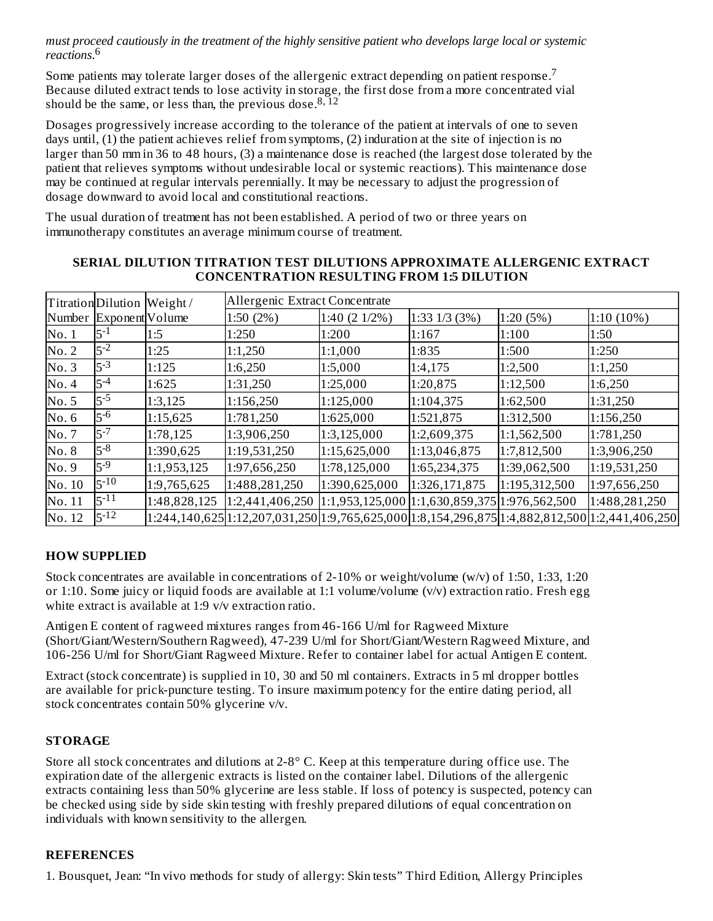must proceed cautiously in the treatment of the highly sensitive patient who develops large local or systemic *reactions*. 6

Some patients may tolerate larger doses of the allergenic extract depending on patient response.<sup>7</sup> Because diluted extract tends to lose activity in storage, the first dose from a more concentrated vial should be the same, or less than, the previous dose.<sup>8,12</sup>

Dosages progressively increase according to the tolerance of the patient at intervals of one to seven days until, (1) the patient achieves relief from symptoms, (2) induration at the site of injection is no larger than 50 mm in 36 to 48 hours, (3) a maintenance dose is reached (the largest dose tolerated by the patient that relieves symptoms without undesirable local or systemic reactions). This maintenance dose may be continued at regular intervals perennially. It may be necessary to adjust the progression of dosage downward to avoid local and constitutional reactions.

The usual duration of treatment has not been established. A period of two or three years on immunotherapy constitutes an average minimum course of treatment.

|        | TitrationDilution Weight/ |              | Allergenic Extract Concentrate                                                                             |                                               |               |               |               |
|--------|---------------------------|--------------|------------------------------------------------------------------------------------------------------------|-----------------------------------------------|---------------|---------------|---------------|
|        | Number Exponent Volume    |              | 1:50 (2%)                                                                                                  | 1:40 (2 1/2%)                                 | 1:331/3(3%)   | 1:20(5%)      | $1:10(10\%)$  |
| No.1   | $5 - 1$                   | 1:5          | 1:250                                                                                                      | 1:200                                         | 1:167         | 1:100         | 1:50          |
| No. 2  | $5 - 2$                   | 1:25         | 1:1,250                                                                                                    | 1:1,000                                       | 1:835         | 1:500         | 1:250         |
| No.3   | $5 - 3$                   | 1:125        | 1:6,250                                                                                                    | 1:5,000                                       | 1:4,175       | 1:2,500       | 1:1,250       |
| No.4   | $5 - 4$                   | 1:625        | 1:31,250                                                                                                   | 1:25,000                                      | 1:20,875      | 1:12,500      | 1:6,250       |
| No. 5  | $5 - 5$                   | 1:3,125      | 1:156,250                                                                                                  | 1:125,000                                     | 1:104,375     | 1:62,500      | 1:31,250      |
| No. 6  | $5^{-6}$                  | 1:15,625     | 1:781,250                                                                                                  | 1:625,000                                     | 1:521,875     | 1:312,500     | 1:156,250     |
| No.7   | $5 - 7$                   | 1:78,125     | 1:3,906,250                                                                                                | 1:3,125,000                                   | 1:2,609,375   | 1:1,562,500   | 1:781,250     |
| No. 8  | $5^{-8}$                  | 1:390,625    | 1:19,531,250                                                                                               | 1:15,625,000                                  | 1:13,046,875  | 1:7,812,500   | 1:3,906,250   |
| No.9   | $5 - 9$                   | 1:1,953,125  | 1:97,656,250                                                                                               | 1:78,125,000                                  | 1:65,234,375  | 1:39,062,500  | 1:19,531,250  |
| No. 10 | $5 - 10$                  | 1:9,765,625  | 1:488,281,250                                                                                              | 1:390,625,000                                 | 1:326,171,875 | 1:195,312,500 | 1:97,656,250  |
| No. 11 | $5 - 11$                  | 1:48,828,125 | 1:2,441,406,250                                                                                            | 1:1,953,125,000 1:1,630,859,375 1:976,562,500 |               |               | 1:488,281,250 |
| No. 12 | $5 - 12$                  |              | $1:244,140,625$ $1:12,207,031,250$ $1:9,765,625,000$ $1:8,154,296,875$ $1:4,882,812,500$ $1:2,441,406,250$ |                                               |               |               |               |

#### **SERIAL DILUTION TITRATION TEST DILUTIONS APPROXIMATE ALLERGENIC EXTRACT CONCENTRATION RESULTING FROM 1:5 DILUTION**

## **HOW SUPPLIED**

Stock concentrates are available in concentrations of 2-10% or weight/volume (w/v) of 1:50, 1:33, 1:20 or 1:10. Some juicy or liquid foods are available at 1:1 volume/volume (v/v) extraction ratio. Fresh egg white extract is available at 1:9 v/v extraction ratio.

Antigen E content of ragweed mixtures ranges from 46-166 U/ml for Ragweed Mixture (Short/Giant/Western/Southern Ragweed), 47-239 U/ml for Short/Giant/Western Ragweed Mixture, and 106-256 U/ml for Short/Giant Ragweed Mixture. Refer to container label for actual Antigen E content.

Extract (stock concentrate) is supplied in 10, 30 and 50 ml containers. Extracts in 5 ml dropper bottles are available for prick-puncture testing. To insure maximum potency for the entire dating period, all stock concentrates contain 50% glycerine v/v.

#### **STORAGE**

Store all stock concentrates and dilutions at 2-8° C. Keep at this temperature during office use. The expiration date of the allergenic extracts is listed on the container label. Dilutions of the allergenic extracts containing less than 50% glycerine are less stable. If loss of potency is suspected, potency can be checked using side by side skin testing with freshly prepared dilutions of equal concentration on individuals with known sensitivity to the allergen.

#### **REFERENCES**

1. Bousquet, Jean: "In vivo methods for study of allergy: Skin tests" Third Edition, Allergy Principles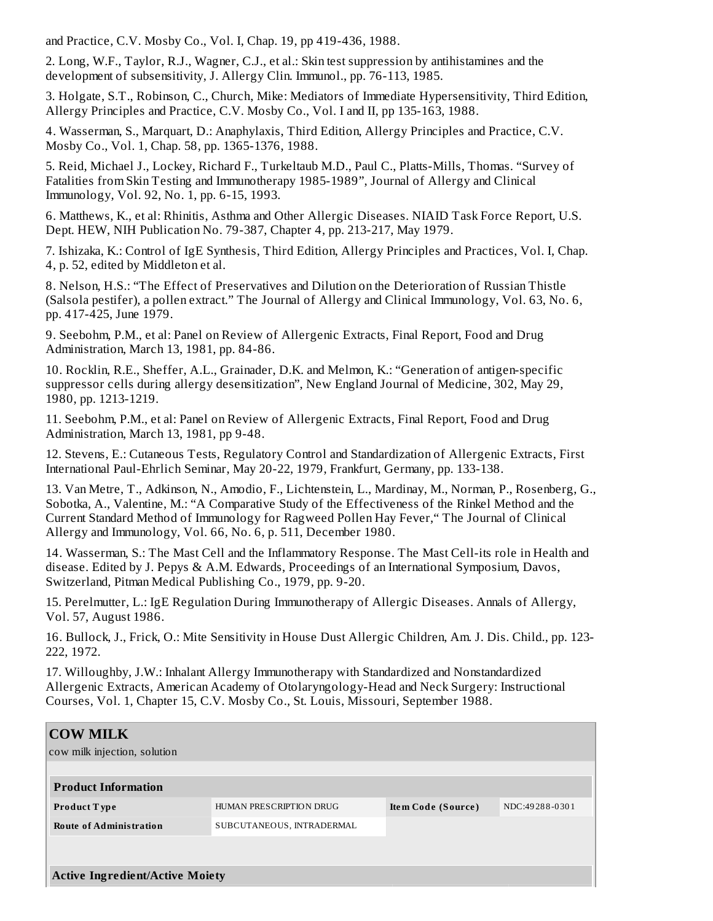and Practice, C.V. Mosby Co., Vol. I, Chap. 19, pp 419-436, 1988.

2. Long, W.F., Taylor, R.J., Wagner, C.J., et al.: Skin test suppression by antihistamines and the development of subsensitivity, J. Allergy Clin. Immunol., pp. 76-113, 1985.

3. Holgate, S.T., Robinson, C., Church, Mike: Mediators of Immediate Hypersensitivity, Third Edition, Allergy Principles and Practice, C.V. Mosby Co., Vol. I and II, pp 135-163, 1988.

4. Wasserman, S., Marquart, D.: Anaphylaxis, Third Edition, Allergy Principles and Practice, C.V. Mosby Co., Vol. 1, Chap. 58, pp. 1365-1376, 1988.

5. Reid, Michael J., Lockey, Richard F., Turkeltaub M.D., Paul C., Platts-Mills, Thomas. "Survey of Fatalities from Skin Testing and Immunotherapy 1985-1989", Journal of Allergy and Clinical Immunology, Vol. 92, No. 1, pp. 6-15, 1993.

6. Matthews, K., et al: Rhinitis, Asthma and Other Allergic Diseases. NIAID Task Force Report, U.S. Dept. HEW, NIH Publication No. 79-387, Chapter 4, pp. 213-217, May 1979.

7. Ishizaka, K.: Control of IgE Synthesis, Third Edition, Allergy Principles and Practices, Vol. I, Chap. 4, p. 52, edited by Middleton et al.

8. Nelson, H.S.: "The Effect of Preservatives and Dilution on the Deterioration of Russian Thistle (Salsola pestifer), a pollen extract." The Journal of Allergy and Clinical Immunology, Vol. 63, No. 6, pp. 417-425, June 1979.

9. Seebohm, P.M., et al: Panel on Review of Allergenic Extracts, Final Report, Food and Drug Administration, March 13, 1981, pp. 84-86.

10. Rocklin, R.E., Sheffer, A.L., Grainader, D.K. and Melmon, K.: "Generation of antigen-specific suppressor cells during allergy desensitization", New England Journal of Medicine, 302, May 29, 1980, pp. 1213-1219.

11. Seebohm, P.M., et al: Panel on Review of Allergenic Extracts, Final Report, Food and Drug Administration, March 13, 1981, pp 9-48.

12. Stevens, E.: Cutaneous Tests, Regulatory Control and Standardization of Allergenic Extracts, First International Paul-Ehrlich Seminar, May 20-22, 1979, Frankfurt, Germany, pp. 133-138.

13. Van Metre, T., Adkinson, N., Amodio, F., Lichtenstein, L., Mardinay, M., Norman, P., Rosenberg, G., Sobotka, A., Valentine, M.: "A Comparative Study of the Effectiveness of the Rinkel Method and the Current Standard Method of Immunology for Ragweed Pollen Hay Fever," The Journal of Clinical Allergy and Immunology, Vol. 66, No. 6, p. 511, December 1980.

14. Wasserman, S.: The Mast Cell and the Inflammatory Response. The Mast Cell-its role in Health and disease. Edited by J. Pepys & A.M. Edwards, Proceedings of an International Symposium, Davos, Switzerland, Pitman Medical Publishing Co., 1979, pp. 9-20.

15. Perelmutter, L.: IgE Regulation During Immunotherapy of Allergic Diseases. Annals of Allergy, Vol. 57, August 1986.

16. Bullock, J., Frick, O.: Mite Sensitivity in House Dust Allergic Children, Am. J. Dis. Child., pp. 123- 222, 1972.

17. Willoughby, J.W.: Inhalant Allergy Immunotherapy with Standardized and Nonstandardized Allergenic Extracts, American Academy of Otolaryngology-Head and Neck Surgery: Instructional Courses, Vol. 1, Chapter 15, C.V. Mosby Co., St. Louis, Missouri, September 1988.

# **COW MILK** cow milk injection, solution **Product Information Product T ype** HUMAN PRESCRIPTION DRUG **Ite m Code (Source )** NDC:49 28 8 -0 30 1 **Route of Administration** SUBCUTANEOUS, INTRADERMAL **Active Ingredient/Active Moiety**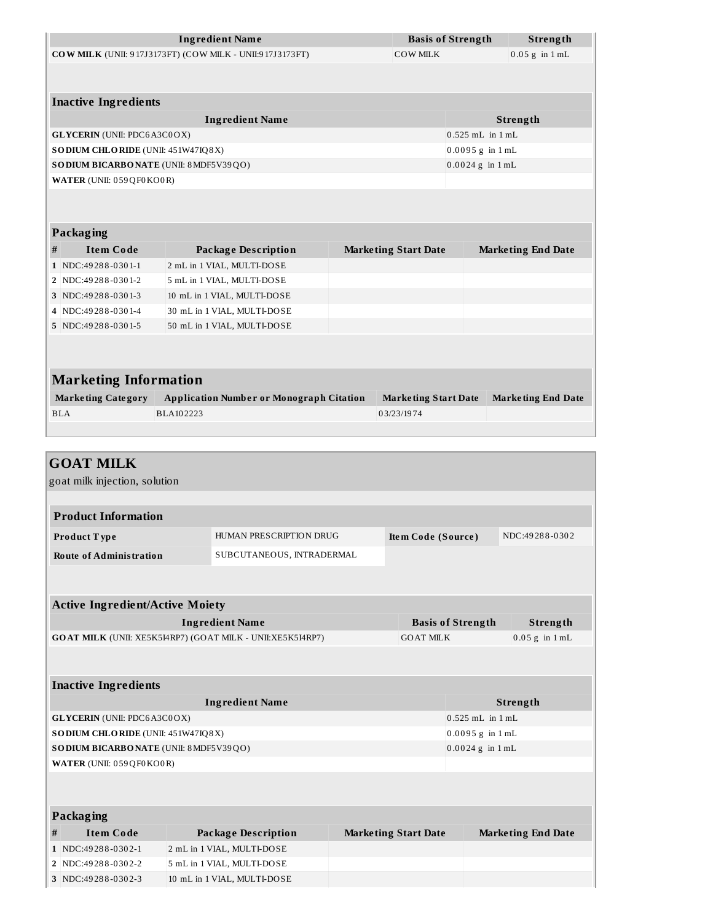|                                       | <b>Ingredient Name</b>                                   |                             | <b>Basis of Strength</b> | Strength                  |
|---------------------------------------|----------------------------------------------------------|-----------------------------|--------------------------|---------------------------|
|                                       | COW MILK (UNII: 917J3173FT) (COW MILK - UNII:917J3173FT) | COW MILK                    |                          | $0.05$ g in $1$ mL        |
|                                       |                                                          |                             |                          |                           |
|                                       |                                                          |                             |                          |                           |
| <b>Inactive Ingredients</b>           |                                                          |                             |                          |                           |
|                                       | <b>Ingredient Name</b>                                   |                             |                          | Strength                  |
| <b>GLYCERIN</b> (UNII: PDC6A3C0OX)    |                                                          |                             | $0.525$ mL in $1$ mL     |                           |
| SODIUM CHLORIDE (UNII: 451W47IQ8X)    |                                                          |                             | $0.0095 g$ in $1 mL$     |                           |
| SODIUM BICARBONATE (UNII: 8MDF5V39QO) |                                                          |                             | $0.0024$ g in $1$ mL     |                           |
| WATER (UNII: 059QF0KO0R)              |                                                          |                             |                          |                           |
|                                       |                                                          |                             |                          |                           |
|                                       |                                                          |                             |                          |                           |
| <b>Packaging</b>                      |                                                          |                             |                          |                           |
| <b>Item Code</b><br>#                 | <b>Package Description</b>                               | <b>Marketing Start Date</b> |                          | <b>Marketing End Date</b> |
| 1 NDC: 49288-0301-1                   | 2 mL in 1 VIAL, MULTI-DOSE                               |                             |                          |                           |
| 2 NDC:49288-0301-2                    | 5 mL in 1 VIAL, MULTI-DOSE                               |                             |                          |                           |
| 3 NDC:49288-0301-3                    | 10 mL in 1 VIAL, MULTI-DOSE                              |                             |                          |                           |
| 4 NDC:49288-0301-4                    | 30 mL in 1 VIAL, MULTI-DOSE                              |                             |                          |                           |
| 5 NDC:49288-0301-5                    | 50 mL in 1 VIAL, MULTI-DOSE                              |                             |                          |                           |
|                                       |                                                          |                             |                          |                           |
|                                       |                                                          |                             |                          |                           |
| <b>Marketing Information</b>          |                                                          |                             |                          |                           |
| <b>Marketing Category</b>             | <b>Application Number or Monograph Citation</b>          | <b>Marketing Start Date</b> |                          | <b>Marketing End Date</b> |
| <b>BLA</b>                            | BLA102223                                                | 03/23/1974                  |                          |                           |
|                                       |                                                          |                             |                          |                           |
|                                       |                                                          |                             |                          |                           |

## **GOAT MILK**

goat milk injection, solution

| <b>Product Information</b>     |                           |                    |                |
|--------------------------------|---------------------------|--------------------|----------------|
| Product Type                   | HUMAN PRESCRIPTION DRUG   | Item Code (Source) | NDC:49288-0302 |
| <b>Route of Administration</b> | SUBCUTANEOUS, INTRADERMAL |                    |                |

| <b>Active Ingredient/Active Moiety</b>                            |                          |                  |
|-------------------------------------------------------------------|--------------------------|------------------|
| <b>Ingredient Name</b>                                            | <b>Basis of Strength</b> | Strength         |
| <b>GOAT MILK (UNII: XE5K5I4RP7) (GOAT MILK - UNII:XE5K5I4RP7)</b> | <b>GOAT MILK</b>         | $0.05$ g in 1 mL |
|                                                                   |                          |                  |

| <b>Inactive Ingredients</b>                   |                      |  |  |  |  |
|-----------------------------------------------|----------------------|--|--|--|--|
| <b>Ingredient Name</b>                        | Strength             |  |  |  |  |
| <b>GLYCERIN</b> (UNII: PDC6A3C0OX)            | $0.525$ mL in $1$ mL |  |  |  |  |
| <b>SODIUM CHLORIDE</b> (UNII: 451W47IQ8X)     | $0.0095 g$ in 1 mL   |  |  |  |  |
| <b>SODIUM BICARBONATE (UNII: 8 MDF5V39QO)</b> | $0.0024$ g in 1 mL   |  |  |  |  |
| WATER (UNII: 059QF0KO0R)                      |                      |  |  |  |  |
|                                               |                      |  |  |  |  |

|   | Packaging          |                             |                             |                           |  |  |  |  |
|---|--------------------|-----------------------------|-----------------------------|---------------------------|--|--|--|--|
| # | Item Code          | <b>Package Description</b>  | <b>Marketing Start Date</b> | <b>Marketing End Date</b> |  |  |  |  |
|   | 1 NDC:49288-0302-1 | 2 mL in 1 VIAL, MULTI-DOSE  |                             |                           |  |  |  |  |
|   | 2 NDC:49288-0302-2 | 5 mL in 1 VIAL, MULTI-DOSE  |                             |                           |  |  |  |  |
|   | 3 NDC:49288-0302-3 | 10 mL in 1 VIAL, MULTI-DOSE |                             |                           |  |  |  |  |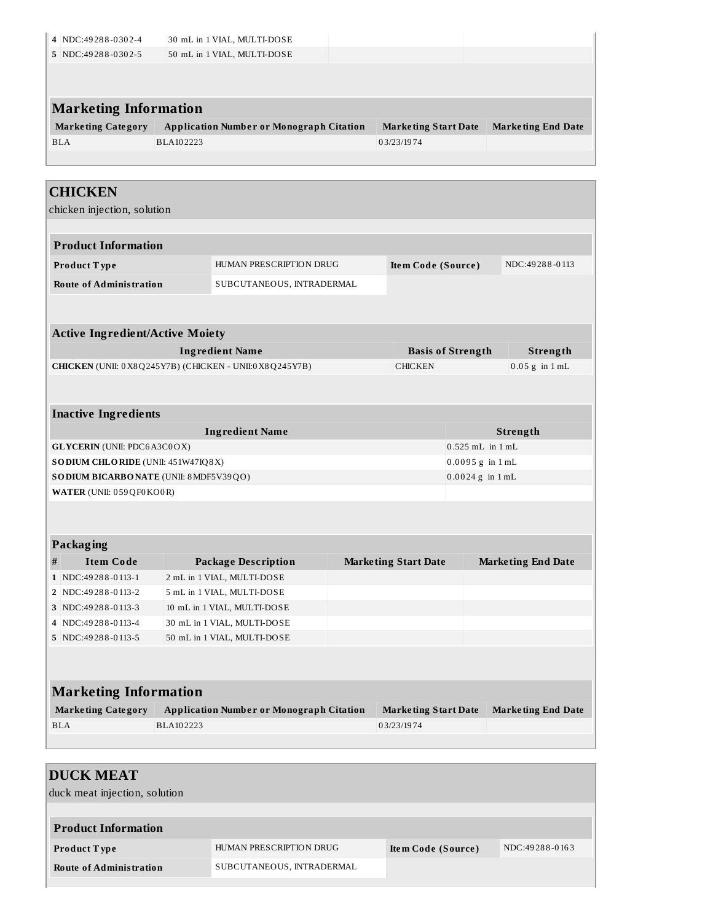|                                                                                                                                                                                                                                                                                                                      | 4 NDC:49288-0302-4 |           | 30 mL in 1 VIAL, MULTI-DOSE                            |                             |                          |                           |
|----------------------------------------------------------------------------------------------------------------------------------------------------------------------------------------------------------------------------------------------------------------------------------------------------------------------|--------------------|-----------|--------------------------------------------------------|-----------------------------|--------------------------|---------------------------|
| 5 NDC:49288-0302-5                                                                                                                                                                                                                                                                                                   |                    |           | 50 mL in 1 VIAL, MULTI-DOSE                            |                             |                          |                           |
|                                                                                                                                                                                                                                                                                                                      |                    |           |                                                        |                             |                          |                           |
| <b>Marketing Information</b>                                                                                                                                                                                                                                                                                         |                    |           |                                                        |                             |                          |                           |
| <b>Marketing Category</b>                                                                                                                                                                                                                                                                                            |                    |           | <b>Application Number or Monograph Citation</b>        | <b>Marketing Start Date</b> |                          | <b>Marketing End Date</b> |
| <b>BLA</b>                                                                                                                                                                                                                                                                                                           |                    | BLA102223 |                                                        | 03/23/1974                  |                          |                           |
|                                                                                                                                                                                                                                                                                                                      |                    |           |                                                        |                             |                          |                           |
| <b>CHICKEN</b>                                                                                                                                                                                                                                                                                                       |                    |           |                                                        |                             |                          |                           |
| chicken injection, solution                                                                                                                                                                                                                                                                                          |                    |           |                                                        |                             |                          |                           |
|                                                                                                                                                                                                                                                                                                                      |                    |           |                                                        |                             |                          |                           |
| <b>Product Information</b>                                                                                                                                                                                                                                                                                           |                    |           |                                                        |                             |                          |                           |
| Product Type                                                                                                                                                                                                                                                                                                         |                    |           | HUMAN PRESCRIPTION DRUG                                | Item Code (Source)          |                          | NDC:49288-0113            |
| <b>Route of Administration</b>                                                                                                                                                                                                                                                                                       |                    |           | SUBCUTANEOUS, INTRADERMAL                              |                             |                          |                           |
|                                                                                                                                                                                                                                                                                                                      |                    |           |                                                        |                             |                          |                           |
|                                                                                                                                                                                                                                                                                                                      |                    |           |                                                        |                             |                          |                           |
|                                                                                                                                                                                                                                                                                                                      |                    |           |                                                        |                             |                          |                           |
|                                                                                                                                                                                                                                                                                                                      |                    |           | <b>Ingredient Name</b>                                 |                             | <b>Basis of Strength</b> | Strength                  |
|                                                                                                                                                                                                                                                                                                                      |                    |           | CHICKEN (UNII: 0X8Q245Y7B) (CHICKEN - UNII:0X8Q245Y7B) | <b>CHICKEN</b>              |                          | $0.05$ g in $1$ mL        |
|                                                                                                                                                                                                                                                                                                                      |                    |           |                                                        |                             |                          |                           |
|                                                                                                                                                                                                                                                                                                                      |                    |           |                                                        |                             |                          |                           |
|                                                                                                                                                                                                                                                                                                                      |                    |           | <b>Ingredient Name</b>                                 |                             |                          | Strength                  |
|                                                                                                                                                                                                                                                                                                                      |                    |           |                                                        |                             | $0.525$ mL in $1$ mL     |                           |
|                                                                                                                                                                                                                                                                                                                      |                    |           |                                                        |                             | $0.0095 g$ in $1 mL$     |                           |
|                                                                                                                                                                                                                                                                                                                      |                    |           |                                                        |                             | $0.0024$ g in $1$ mL     |                           |
|                                                                                                                                                                                                                                                                                                                      |                    |           |                                                        |                             |                          |                           |
|                                                                                                                                                                                                                                                                                                                      |                    |           |                                                        |                             |                          |                           |
|                                                                                                                                                                                                                                                                                                                      |                    |           |                                                        |                             |                          |                           |
|                                                                                                                                                                                                                                                                                                                      |                    |           |                                                        |                             |                          |                           |
|                                                                                                                                                                                                                                                                                                                      |                    |           | <b>Package Description</b>                             | <b>Marketing Start Date</b> |                          |                           |
| <b>Item Code</b>                                                                                                                                                                                                                                                                                                     |                    |           | 2 mL in 1 VIAL, MULTI-DOSE                             |                             |                          |                           |
|                                                                                                                                                                                                                                                                                                                      |                    |           | 5 mL in 1 VIAL, MULTI-DOSE                             |                             |                          | <b>Marketing End Date</b> |
| <b>Active Ingredient/Active Moiety</b><br><b>Inactive Ingredients</b><br><b>GLYCERIN</b> (UNII: PDC6A3C0OX)<br>SODIUM CHLORIDE (UNII: 451W47IQ8X)<br>SODIUM BICARBONATE (UNII: 8MDF5V39QO)<br>WATER (UNII: 059QF0KO0R)<br><b>Packaging</b><br>$\#$<br>1 NDC:49288-0113-1<br>2 NDC:49288-0113-2<br>3 NDC:49288-0113-3 |                    |           | 10 mL in 1 VIAL, MULTI-DOSE                            |                             |                          |                           |

| <b>Marketing Information</b> |                                                 |                      |                           |  |  |
|------------------------------|-------------------------------------------------|----------------------|---------------------------|--|--|
| <b>Marketing Category</b>    | <b>Application Number or Monograph Citation</b> | Marketing Start Date | <b>Marketing End Date</b> |  |  |
| <b>BLA</b>                   | BLA102223                                       | 03/23/1974           |                           |  |  |

**5** NDC:49 28 8 -0 113-5 50 mL in 1 VIAL, MULTI-DOSE

| <b>DUCK MEAT</b>               |                           |                    |                |
|--------------------------------|---------------------------|--------------------|----------------|
| duck meat injection, solution  |                           |                    |                |
|                                |                           |                    |                |
| <b>Product Information</b>     |                           |                    |                |
| <b>Product Type</b>            | HUMAN PRESCRIPTION DRUG   | Item Code (Source) | NDC:49288-0163 |
| <b>Route of Administration</b> | SUBCUTANEOUS, INTRADERMAL |                    |                |
|                                |                           |                    |                |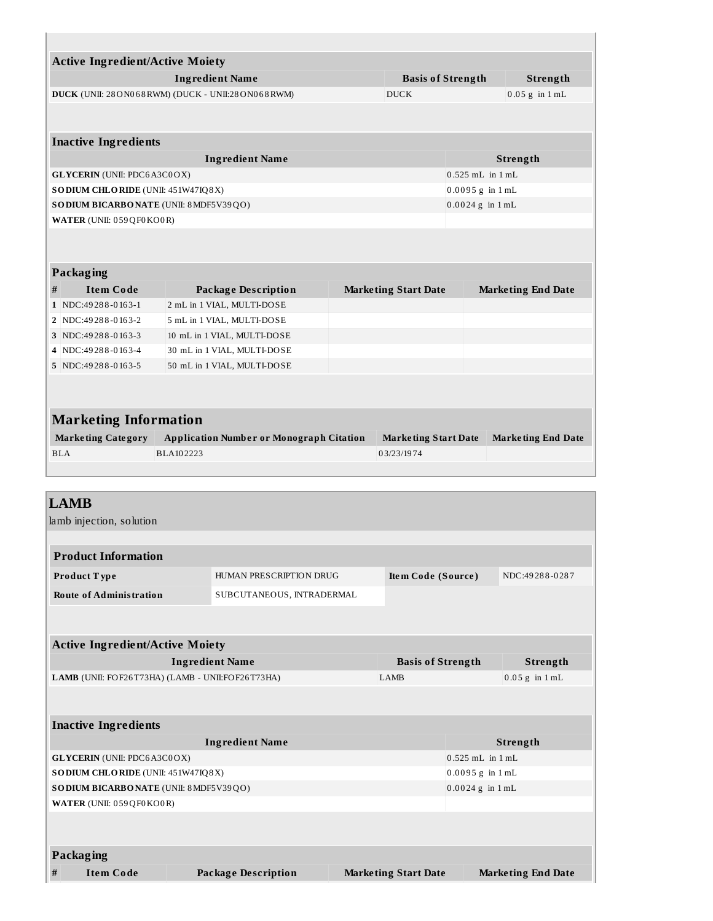| <b>Active Ingredient/Active Moiety</b> |                                                      |                             |                                |                           |
|----------------------------------------|------------------------------------------------------|-----------------------------|--------------------------------|---------------------------|
|                                        | <b>Ingredient Name</b>                               | <b>Basis of Strength</b>    |                                | Strength                  |
|                                        | DUCK (UNII: 28 ON068 RWM) (DUCK - UNII:28 ON068 RWM) | <b>DUCK</b>                 |                                | $0.05$ g in $1$ mL        |
|                                        |                                                      |                             |                                |                           |
| <b>Inactive Ingredients</b>            |                                                      |                             |                                |                           |
|                                        | <b>Ingredient Name</b>                               |                             |                                | Strength                  |
| <b>GLYCERIN</b> (UNII: PDC6A3C0OX)     |                                                      |                             | $0.525$ mL in $1$ mL           |                           |
| SODIUM CHLORIDE (UNII: 451W47IQ8X)     |                                                      |                             | $0.0095$ g in $1\,\mathrm{mL}$ |                           |
| SODIUM BICARBONATE (UNII: 8 MDF5V39QO) |                                                      |                             | $0.0024$ g in $1$ mL           |                           |
| WATER (UNII: 059 QF0 KO0R)             |                                                      |                             |                                |                           |
| Packaging                              |                                                      |                             |                                |                           |
| <b>Item Code</b><br>#                  | <b>Package Description</b>                           | <b>Marketing Start Date</b> |                                | <b>Marketing End Date</b> |
| 1 NDC:49288-0163-1                     | 2 mL in 1 VIAL, MULTI-DOSE                           |                             |                                |                           |
| 2   NDC:49288-0163-2                   | 5 mL in 1 VIAL, MULTI-DOSE                           |                             |                                |                           |
| 3 NDC:49288-0163-3                     | 10 mL in 1 VIAL, MULTI-DOSE                          |                             |                                |                           |
| 4 NDC:49288-0163-4                     | 30 mL in 1 VIAL, MULTI-DOSE                          |                             |                                |                           |
| 5 NDC:49288-0163-5                     | 50 mL in 1 VIAL, MULTI-DOSE                          |                             |                                |                           |
|                                        |                                                      |                             |                                |                           |
| <b>Marketing Information</b>           |                                                      |                             |                                |                           |
| <b>Marketing Category</b>              | <b>Application Number or Monograph Citation</b>      | <b>Marketing Start Date</b> |                                | <b>Marketing End Date</b> |
| <b>BLA</b>                             | BLA102223                                            | 03/23/1974                  |                                |                           |
|                                        |                                                      |                             |                                |                           |

## **LAMB**

lamb injection, solution

| <b>Product Information</b>     |                           |                    |                |
|--------------------------------|---------------------------|--------------------|----------------|
| Product Type                   | HUMAN PRESCRIPTION DRUG   | Item Code (Source) | NDC:49288-0287 |
| <b>Route of Administration</b> | SUBCUTANEOUS, INTRADERMAL |                    |                |

| <b>Active Ingredient/Active Moiety</b>           |                          |                  |  |  |
|--------------------------------------------------|--------------------------|------------------|--|--|
| Ingredient Name                                  | <b>Basis of Strength</b> | Strength         |  |  |
| LAMB (UNII: FOF26T73HA) (LAMB - UNII:FOF26T73HA) | LAMB                     | $0.05$ g in 1 mL |  |  |
|                                                  |                          |                  |  |  |

| <b>Inactive Ingredients</b>               |                      |  |  |  |  |
|-------------------------------------------|----------------------|--|--|--|--|
| <b>Ingredient Name</b>                    | Strength             |  |  |  |  |
| <b>GLYCERIN</b> (UNII: PDC6A3C0OX)        | $0.525$ mL in 1 mL   |  |  |  |  |
| <b>SODIUM CHLORIDE</b> (UNII: 451W47IQ8X) | $0.0095$ g in $1$ mL |  |  |  |  |
| SODIUM BICARBONATE (UNII: 8 MDF5V39QO)    | $0.0024$ g in 1 mL   |  |  |  |  |
| WATER (UNII: 059QF0KO0R)                  |                      |  |  |  |  |
|                                           |                      |  |  |  |  |
|                                           |                      |  |  |  |  |
| Packaging                                 |                      |  |  |  |  |

**Packaging**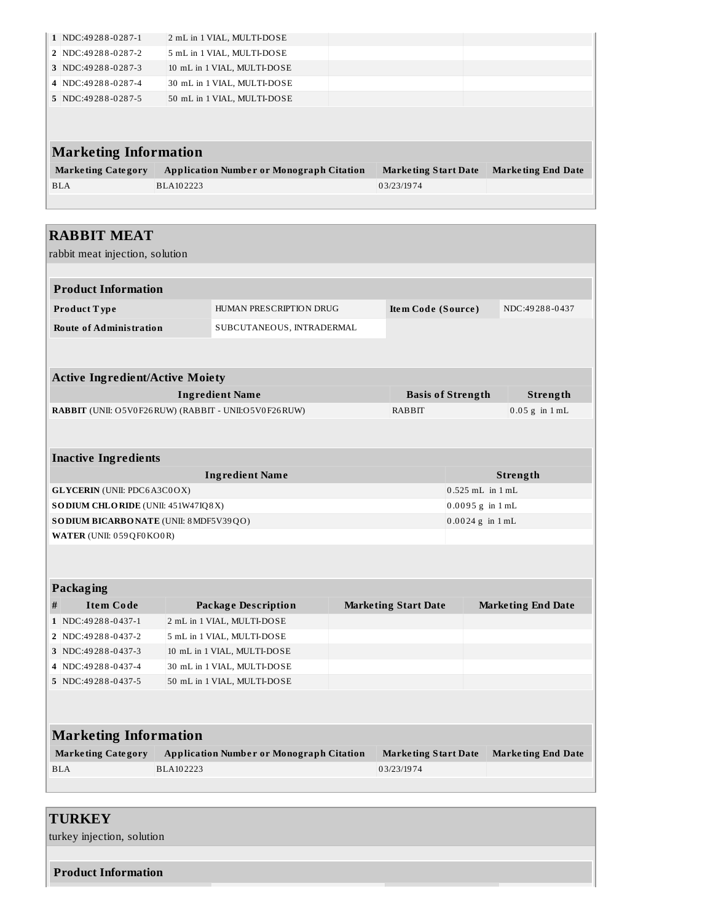| $1$ NDC: 49288-0287-1        | 2 mL in 1 VIAL, MULTI-DOSE                      |                             |                           |
|------------------------------|-------------------------------------------------|-----------------------------|---------------------------|
| 2 NDC:49288-0287-2           | 5 mL in 1 VIAL, MULTI-DOSE                      |                             |                           |
| 3 NDC:49288-0287-3           | 10 mL in 1 VIAL, MULTI-DOSE                     |                             |                           |
| 4 NDC:49288-0287-4           | 30 mL in 1 VIAL, MULTI-DOSE                     |                             |                           |
| 5 NDC:49288-0287-5           | 50 mL in 1 VIAL, MULTI-DOSE                     |                             |                           |
| <b>Marketing Information</b> |                                                 |                             |                           |
| <b>Marketing Category</b>    | <b>Application Number or Monograph Citation</b> | <b>Marketing Start Date</b> | <b>Marketing End Date</b> |
| <b>BLA</b>                   | BLA102223                                       | 03/23/1974                  |                           |
|                              |                                                 |                             |                           |

## **RABBIT MEAT**

rabbit meat injection, solution

| <b>Product Information</b>     |                           |                    |                |  |  |
|--------------------------------|---------------------------|--------------------|----------------|--|--|
| Product Type                   | HUMAN PRESCRIPTION DRUG   | Item Code (Source) | NDC:49288-0437 |  |  |
| <b>Route of Administration</b> | SUBCUTANEOUS, INTRADERMAL |                    |                |  |  |

| <b>Active Ingredient/Active Moiety</b>                      |                          |                  |  |  |  |
|-------------------------------------------------------------|--------------------------|------------------|--|--|--|
| Ingredient Name                                             | <b>Basis of Strength</b> | Strength         |  |  |  |
| <b>RABBIT</b> (UNII: O5V0F26RUW) (RABBIT - UNII:O5V0F26RUW) | RABBIT                   | $0.05$ g in 1 mL |  |  |  |

| <b>Inactive Ingredients</b>               |                      |  |  |  |  |
|-------------------------------------------|----------------------|--|--|--|--|
| <b>Ingredient Name</b>                    | Strength             |  |  |  |  |
| <b>GLYCERIN</b> (UNII: PDC6A3C0OX)        | $0.525$ mL in $1$ mL |  |  |  |  |
| <b>SODIUM CHLORIDE</b> (UNII: 451W47IQ8X) | $0.0095 g$ in 1 mL   |  |  |  |  |
| SODIUM BICARBONATE (UNII: 8 MDF5V39QO)    | $0.0024$ g in 1 mL   |  |  |  |  |
| WATER (UNII: 059QF0KO0R)                  |                      |  |  |  |  |

|   | Packaging             |                             |                             |                           |  |  |  |  |
|---|-----------------------|-----------------------------|-----------------------------|---------------------------|--|--|--|--|
| # | <b>Item Code</b>      | Package Description         | <b>Marketing Start Date</b> | <b>Marketing End Date</b> |  |  |  |  |
|   | $1$ NDC:49288-0437-1  | 2 mL in 1 VIAL, MULTI-DOSE  |                             |                           |  |  |  |  |
|   | 2 NDC:49288-0437-2    | 5 mL in 1 VIAL, MULTI-DOSE  |                             |                           |  |  |  |  |
|   | 3 NDC:49288-0437-3    | 10 mL in 1 VIAL, MULTI-DOSE |                             |                           |  |  |  |  |
|   | 4 NDC:49288-0437-4    | 30 mL in 1 VIAL, MULTI-DOSE |                             |                           |  |  |  |  |
|   | $5$ NDC: 49288-0437-5 | 50 mL in 1 VIAL, MULTI-DOSE |                             |                           |  |  |  |  |
|   |                       |                             |                             |                           |  |  |  |  |

| <b>Marketing Information</b>                    |                      |                           |  |  |  |
|-------------------------------------------------|----------------------|---------------------------|--|--|--|
| <b>Application Number or Monograph Citation</b> | Marketing Start Date | <b>Marketing End Date</b> |  |  |  |
| BLA102223                                       | 03/23/1974           |                           |  |  |  |
|                                                 |                      |                           |  |  |  |

## **TURKEY**

turkey injection, solution

**Product Information**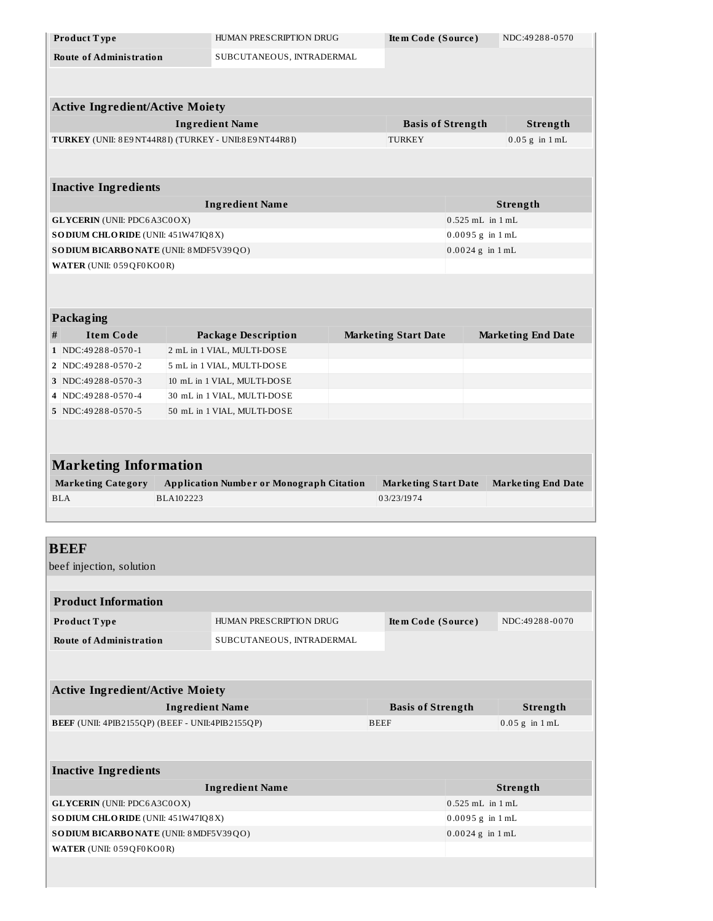| Product Type                                                       |                        | HUMAN PRESCRIPTION DRUG                                   | Item Code (Source)          |                          | NDC:49288-0570            |
|--------------------------------------------------------------------|------------------------|-----------------------------------------------------------|-----------------------------|--------------------------|---------------------------|
| <b>Route of Administration</b>                                     |                        | SUBCUTANEOUS, INTRADERMAL                                 |                             |                          |                           |
|                                                                    |                        |                                                           |                             |                          |                           |
|                                                                    |                        |                                                           |                             |                          |                           |
| <b>Active Ingredient/Active Moiety</b>                             |                        |                                                           |                             |                          |                           |
|                                                                    |                        | <b>Ingredient Name</b>                                    |                             | <b>Basis of Strength</b> | <b>Strength</b>           |
| TURKEY (UNII: 8E9 NT44R8I) (TURKEY - UNII:8E9 NT44R8I)             |                        |                                                           | <b>TURKEY</b>               |                          | $0.05$ g in $1$ mL        |
|                                                                    |                        |                                                           |                             |                          |                           |
|                                                                    |                        |                                                           |                             |                          |                           |
| <b>Inactive Ingredients</b>                                        |                        |                                                           |                             |                          |                           |
|                                                                    |                        | <b>Ingredient Name</b>                                    |                             |                          | Strength                  |
| <b>GLYCERIN</b> (UNII: PDC6A3C0OX)                                 |                        |                                                           |                             | $0.525$ mL in $1$ mL     |                           |
| SODIUM CHLORIDE (UNII: 451W47IQ8X)                                 |                        |                                                           |                             | $0.0095 g$ in $1 mL$     |                           |
| SODIUM BICARBONATE (UNII: 8 MDF5V39QO)<br>WATER (UNII: 059QF0KO0R) |                        |                                                           |                             | $0.0024$ g in $1$ mL     |                           |
|                                                                    |                        |                                                           |                             |                          |                           |
|                                                                    |                        |                                                           |                             |                          |                           |
|                                                                    |                        |                                                           |                             |                          |                           |
| <b>Packaging</b>                                                   |                        |                                                           |                             |                          |                           |
| #<br><b>Item Code</b>                                              |                        | <b>Package Description</b>                                | <b>Marketing Start Date</b> |                          | <b>Marketing End Date</b> |
| 1   NDC:49288-0570-1<br>2   NDC:49288-0570-2                       |                        | 2 mL in 1 VIAL, MULTI-DOSE                                |                             |                          |                           |
| 3 NDC:49288-0570-3                                                 |                        | 5 mL in 1 VIAL, MULTI-DOSE<br>10 mL in 1 VIAL, MULTI-DOSE |                             |                          |                           |
| NDC:49288-0570-4<br>4                                              |                        | 30 mL in 1 VIAL, MULTI-DOSE                               |                             |                          |                           |
| 5 NDC:49288-0570-5                                                 |                        | 50 mL in 1 VIAL, MULTI-DOSE                               |                             |                          |                           |
|                                                                    |                        |                                                           |                             |                          |                           |
|                                                                    |                        |                                                           |                             |                          |                           |
|                                                                    |                        |                                                           |                             |                          |                           |
|                                                                    |                        |                                                           |                             |                          |                           |
| <b>Marketing Information</b>                                       |                        |                                                           |                             |                          |                           |
| <b>Marketing Category</b>                                          |                        | <b>Application Number or Monograph Citation</b>           | <b>Marketing Start Date</b> |                          | <b>Marketing End Date</b> |
| <b>BLA</b>                                                         | BLA102223              |                                                           | 03/23/1974                  |                          |                           |
|                                                                    |                        |                                                           |                             |                          |                           |
|                                                                    |                        |                                                           |                             |                          |                           |
| <b>BEEF</b>                                                        |                        |                                                           |                             |                          |                           |
| beef injection, solution                                           |                        |                                                           |                             |                          |                           |
|                                                                    |                        |                                                           |                             |                          |                           |
| <b>Product Information</b>                                         |                        |                                                           |                             |                          |                           |
| Product Type                                                       |                        | HUMAN PRESCRIPTION DRUG                                   | Item Code (Source)          |                          | NDC:49288-0070            |
| <b>Route of Administration</b>                                     |                        | SUBCUTANEOUS, INTRADERMAL                                 |                             |                          |                           |
|                                                                    |                        |                                                           |                             |                          |                           |
|                                                                    |                        |                                                           |                             |                          |                           |
| <b>Active Ingredient/Active Moiety</b>                             |                        |                                                           |                             |                          |                           |
|                                                                    | <b>Ingredient Name</b> |                                                           | <b>Basis of Strength</b>    |                          | Strength                  |
| BEEF (UNII: 4PIB2155QP) (BEEF - UNII:4PIB2155QP)                   |                        |                                                           | <b>BEEF</b>                 |                          | $0.05$ g in $1$ mL        |
|                                                                    |                        |                                                           |                             |                          |                           |
|                                                                    |                        |                                                           |                             |                          |                           |
| <b>Inactive Ingredients</b>                                        |                        |                                                           |                             |                          |                           |
|                                                                    |                        | <b>Ingredient Name</b>                                    |                             |                          | <b>Strength</b>           |
| <b>GLYCERIN</b> (UNII: PDC6A3C0OX)                                 |                        |                                                           |                             | 0.525 mL in 1 mL         |                           |
| SODIUM CHLORIDE (UNII: 451W47IQ8X)                                 |                        |                                                           |                             | $0.0095 g$ in $1 mL$     |                           |
| SODIUM BICARBONATE (UNII: 8 MDF5V39QO)                             |                        |                                                           |                             | $0.0024$ g in $1$ mL     |                           |
| WATER (UNII: 059QF0KO0R)                                           |                        |                                                           |                             |                          |                           |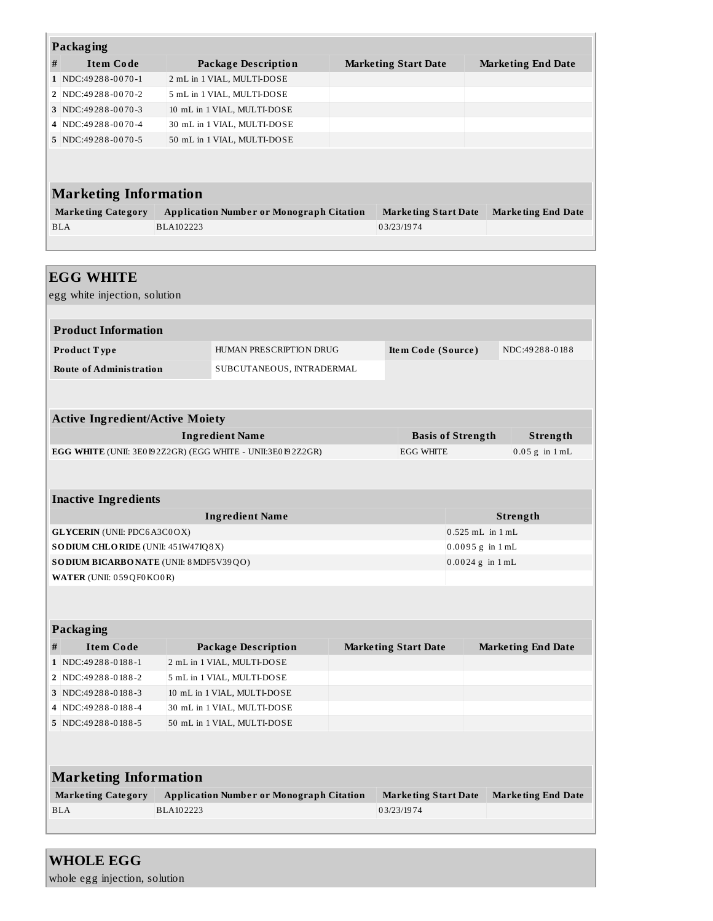|   | Packaging                    |                                                 |  |                             |                           |  |  |  |
|---|------------------------------|-------------------------------------------------|--|-----------------------------|---------------------------|--|--|--|
| # | <b>Item Code</b>             | Package Description                             |  | <b>Marketing Start Date</b> | <b>Marketing End Date</b> |  |  |  |
|   | 1 NDC:49288-0070-1           | 2 mL in 1 VIAL, MULTI-DOSE                      |  |                             |                           |  |  |  |
|   | 2 NDC:49288-0070-2           | 5 mL in 1 VIAL, MULTI-DOSE                      |  |                             |                           |  |  |  |
|   | 3 NDC:49288-0070-3           | 10 mL in 1 VIAL, MULTI-DOSE                     |  |                             |                           |  |  |  |
|   | 4 NDC:49288-0070-4           | 30 mL in 1 VIAL, MULTI-DOSE                     |  |                             |                           |  |  |  |
|   | 5 NDC:49288-0070-5           | 50 mL in 1 VIAL, MULTI-DOSE                     |  |                             |                           |  |  |  |
|   |                              |                                                 |  |                             |                           |  |  |  |
|   | <b>Marketing Information</b> |                                                 |  |                             |                           |  |  |  |
|   | <b>Marketing Category</b>    | <b>Application Number or Monograph Citation</b> |  | <b>Marketing Start Date</b> | <b>Marketing End Date</b> |  |  |  |
|   | <b>BLA</b>                   | BLA102223                                       |  | 03/23/1974                  |                           |  |  |  |
|   |                              |                                                 |  |                             |                           |  |  |  |
|   |                              |                                                 |  |                             |                           |  |  |  |
|   | <b>EGG WHITE</b>             |                                                 |  |                             |                           |  |  |  |

egg white injection, solution **Product Information Product T ype** HUMAN PRESCRIPTION DRUG **Ite m Code (Source )** NDC:49 28 8 -0 18 8 **Route of Administration** SUBCUTANEOUS, INTRADERMAL **Active Ingredient/Active Moiety**

| Ingredient Name                                                   | <b>Basis of Strength</b> | Strength         |
|-------------------------------------------------------------------|--------------------------|------------------|
| <b>EGG WHITE (UNII: 3E0192Z2GR) (EGG WHITE - UNII:3E0192Z2GR)</b> | <b>EGG WHITE</b>         | $0.05$ g in 1 mL |

| <b>Inactive Ingredients</b>               |                      |  |  |  |  |  |
|-------------------------------------------|----------------------|--|--|--|--|--|
| <b>Ingredient Name</b>                    | Strength             |  |  |  |  |  |
| <b>GLYCERIN</b> (UNII: PDC6A3C0OX)        | $0.525$ mL in $1$ mL |  |  |  |  |  |
| <b>SODIUM CHLORIDE</b> (UNII: 451W47IQ8X) | $0.0095 g$ in 1 mL   |  |  |  |  |  |
| SODIUM BICARBONATE (UNII: 8 MDF5V39QO)    | $0.0024$ g in 1 mL   |  |  |  |  |  |
| WATER (UNII: 059QF0KO0R)                  |                      |  |  |  |  |  |

| Packaging |                      |                             |                             |                           |  |  |  |
|-----------|----------------------|-----------------------------|-----------------------------|---------------------------|--|--|--|
| #         | <b>Item Code</b>     | <b>Package Description</b>  | <b>Marketing Start Date</b> | <b>Marketing End Date</b> |  |  |  |
|           | $1$ NDC:49288-0188-1 | 2 mL in 1 VIAL, MULTI-DOSE  |                             |                           |  |  |  |
|           | 2 NDC:49288-0188-2   | 5 mL in 1 VIAL, MULTI-DOSE  |                             |                           |  |  |  |
|           | 3 NDC: 49288-0188-3  | 10 mL in 1 VIAL, MULTI-DOSE |                             |                           |  |  |  |
|           | 4 NDC: 49288-0188-4  | 30 mL in 1 VIAL, MULTI-DOSE |                             |                           |  |  |  |
|           | 5 NDC:49288-0188-5   | 50 mL in 1 VIAL, MULTI-DOSE |                             |                           |  |  |  |
|           |                      |                             |                             |                           |  |  |  |
|           |                      |                             |                             |                           |  |  |  |

| <b>Marketing Information</b> |                                                 |                             |                           |  |  |  |
|------------------------------|-------------------------------------------------|-----------------------------|---------------------------|--|--|--|
| <b>Marketing Category</b>    | <b>Application Number or Monograph Citation</b> | <b>Marketing Start Date</b> | <b>Marketing End Date</b> |  |  |  |
| <b>BLA</b>                   | BLA102223                                       | 03/23/1974                  |                           |  |  |  |

# **WHOLE EGG**

whole egg injection, solution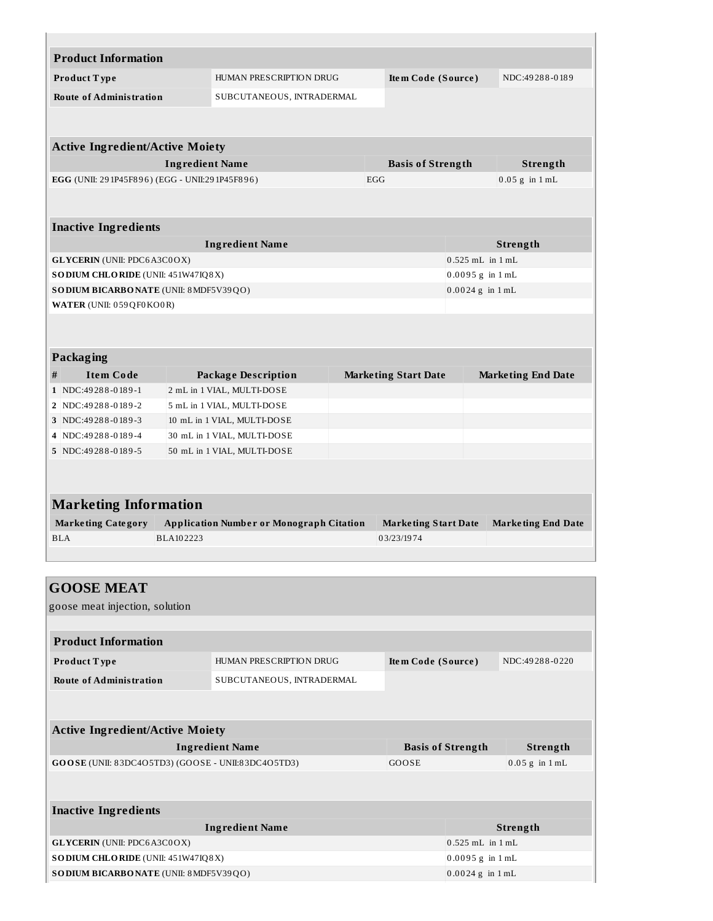|                                                                             | <b>Product Information</b>                                                          |                        |                                                 |                          |                             |                                              |                           |
|-----------------------------------------------------------------------------|-------------------------------------------------------------------------------------|------------------------|-------------------------------------------------|--------------------------|-----------------------------|----------------------------------------------|---------------------------|
|                                                                             | Product Type                                                                        |                        | HUMAN PRESCRIPTION DRUG                         |                          | Item Code (Source)          |                                              | NDC:49288-0189            |
|                                                                             | <b>Route of Administration</b>                                                      |                        | SUBCUTANEOUS, INTRADERMAL                       |                          |                             |                                              |                           |
|                                                                             |                                                                                     |                        |                                                 |                          |                             |                                              |                           |
|                                                                             |                                                                                     |                        |                                                 |                          |                             |                                              |                           |
|                                                                             | <b>Active Ingredient/Active Moiety</b>                                              |                        |                                                 |                          |                             |                                              |                           |
|                                                                             |                                                                                     | <b>Ingredient Name</b> |                                                 |                          | <b>Basis of Strength</b>    |                                              | Strength                  |
| EGG (UNII: 291P45F896) (EGG - UNII:291P45F896)<br>$0.05$ g in $1$ mL<br>EGG |                                                                                     |                        |                                                 |                          |                             |                                              |                           |
|                                                                             |                                                                                     |                        |                                                 |                          |                             |                                              |                           |
|                                                                             | <b>Inactive Ingredients</b>                                                         |                        |                                                 |                          |                             |                                              |                           |
|                                                                             |                                                                                     |                        | <b>Ingredient Name</b>                          |                          |                             |                                              | Strength                  |
|                                                                             | <b>GLYCERIN</b> (UNII: PDC6A3C0OX)                                                  |                        |                                                 |                          |                             | $0.525$ mL in $1$ mL                         |                           |
|                                                                             | <b>SODIUM CHLORIDE</b> (UNII: 451W47IQ8X)                                           |                        |                                                 |                          |                             | $0.0095 g$ in $1 mL$                         |                           |
|                                                                             | SODIUM BICARBONATE (UNII: 8 MDF5V39QO)                                              |                        |                                                 |                          |                             | $0.0024$ g in $1$ mL                         |                           |
|                                                                             | WATER (UNII: 059QF0KO0R)                                                            |                        |                                                 |                          |                             |                                              |                           |
|                                                                             |                                                                                     |                        |                                                 |                          |                             |                                              |                           |
|                                                                             |                                                                                     |                        |                                                 |                          |                             |                                              |                           |
|                                                                             |                                                                                     |                        |                                                 |                          |                             |                                              |                           |
|                                                                             | Packaging                                                                           |                        |                                                 |                          |                             |                                              |                           |
| #                                                                           | <b>Item Code</b>                                                                    |                        | <b>Package Description</b>                      |                          | <b>Marketing Start Date</b> |                                              | <b>Marketing End Date</b> |
|                                                                             | 1 NDC:49288-0189-1                                                                  |                        | 2 mL in 1 VIAL, MULTI-DOSE                      |                          |                             |                                              |                           |
|                                                                             | 2   NDC:49 28 8 - 0 18 9 - 2                                                        |                        | 5 mL in 1 VIAL, MULTI-DOSE                      |                          |                             |                                              |                           |
|                                                                             | 3 NDC:49288-0189-3                                                                  |                        | 10 mL in 1 VIAL, MULTI-DOSE                     |                          |                             |                                              |                           |
| 4                                                                           | NDC:49288-0189-4                                                                    |                        | 30 mL in 1 VIAL, MULTI-DOSE                     |                          |                             |                                              |                           |
|                                                                             | 5 NDC:49288-0189-5                                                                  |                        | 50 mL in 1 VIAL, MULTI-DOSE                     |                          |                             |                                              |                           |
|                                                                             |                                                                                     |                        |                                                 |                          |                             |                                              |                           |
|                                                                             |                                                                                     |                        |                                                 |                          |                             |                                              |                           |
|                                                                             | <b>Marketing Information</b>                                                        |                        |                                                 |                          |                             |                                              |                           |
|                                                                             | <b>Marketing Category</b>                                                           |                        | <b>Application Number or Monograph Citation</b> |                          | <b>Marketing Start Date</b> |                                              | <b>Marketing End Date</b> |
|                                                                             | <b>BLA</b>                                                                          | BLA102223              |                                                 |                          | 03/23/1974                  |                                              |                           |
|                                                                             |                                                                                     |                        |                                                 |                          |                             |                                              |                           |
|                                                                             |                                                                                     |                        |                                                 |                          |                             |                                              |                           |
|                                                                             | <b>GOOSE MEAT</b>                                                                   |                        |                                                 |                          |                             |                                              |                           |
|                                                                             | goose meat injection, solution                                                      |                        |                                                 |                          |                             |                                              |                           |
|                                                                             |                                                                                     |                        |                                                 |                          |                             |                                              |                           |
|                                                                             | <b>Product Information</b>                                                          |                        |                                                 |                          |                             |                                              |                           |
|                                                                             | Product Type                                                                        |                        | HUMAN PRESCRIPTION DRUG                         |                          | Item Code (Source)          |                                              | NDC:49288-0220            |
|                                                                             |                                                                                     |                        |                                                 |                          |                             |                                              |                           |
|                                                                             | <b>Route of Administration</b>                                                      |                        | SUBCUTANEOUS, INTRADERMAL                       |                          |                             |                                              |                           |
|                                                                             |                                                                                     |                        |                                                 |                          |                             |                                              |                           |
|                                                                             |                                                                                     |                        |                                                 |                          |                             |                                              |                           |
|                                                                             | <b>Active Ingredient/Active Moiety</b>                                              |                        |                                                 |                          |                             |                                              |                           |
| <b>Ingredient Name</b>                                                      |                                                                                     |                        |                                                 | <b>Basis of Strength</b> |                             | <b>Strength</b>                              |                           |
| GOOSE (UNII: 83DC4O5TD3) (GOOSE - UNII:83DC4O5TD3)                          |                                                                                     |                        |                                                 | GOOSE                    |                             | $0.05$ g in $1$ mL                           |                           |
|                                                                             |                                                                                     |                        |                                                 |                          |                             |                                              |                           |
|                                                                             |                                                                                     |                        |                                                 |                          |                             |                                              |                           |
|                                                                             |                                                                                     |                        |                                                 |                          |                             |                                              |                           |
|                                                                             | <b>Inactive Ingredients</b>                                                         |                        |                                                 |                          |                             |                                              |                           |
|                                                                             |                                                                                     |                        | <b>Ingredient Name</b>                          |                          |                             |                                              | Strength                  |
|                                                                             | <b>GLYCERIN</b> (UNII: PDC6A3C0OX)                                                  |                        |                                                 |                          |                             | $0.525$ mL in $1$ mL                         |                           |
|                                                                             | <b>SODIUM CHLORIDE</b> (UNII: 451W47IQ8X)<br>SODIUM BICARBONATE (UNII: 8 MDF5V39QO) |                        |                                                 |                          |                             | $0.0095 g$ in $1 mL$<br>$0.0024$ g in $1$ mL |                           |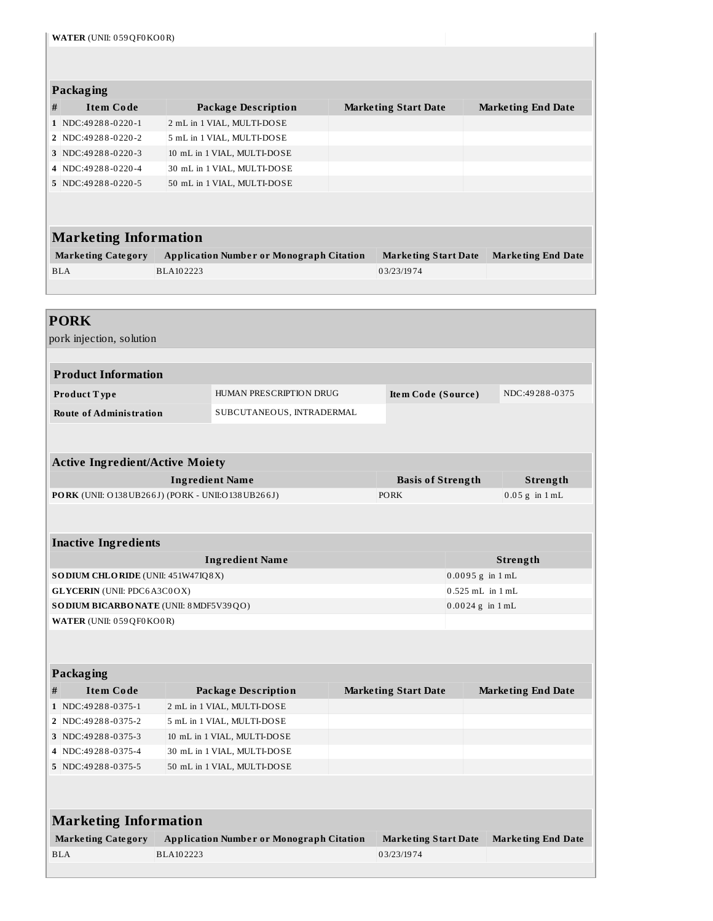| WATER (UNII: 059QF0KO0R) |                                                  |                             |                                                 |  |                             |                      |  |                           |  |
|--------------------------|--------------------------------------------------|-----------------------------|-------------------------------------------------|--|-----------------------------|----------------------|--|---------------------------|--|
|                          |                                                  |                             |                                                 |  |                             |                      |  |                           |  |
|                          |                                                  |                             |                                                 |  |                             |                      |  |                           |  |
|                          | Packaging                                        |                             |                                                 |  |                             |                      |  |                           |  |
| #                        | <b>Item Code</b>                                 |                             | <b>Package Description</b>                      |  | <b>Marketing Start Date</b> |                      |  | <b>Marketing End Date</b> |  |
|                          | 1 NDC:49288-0220-1                               |                             | 2 mL in 1 VIAL, MULTI-DOSE                      |  |                             |                      |  |                           |  |
|                          | 2 NDC:49288-0220-2                               | 5 mL in 1 VIAL, MULTI-DOSE  |                                                 |  |                             |                      |  |                           |  |
|                          | 3 NDC:49288-0220-3                               | 10 mL in 1 VIAL, MULTI-DOSE |                                                 |  |                             |                      |  |                           |  |
|                          | 4 NDC:49288-0220-4                               | 30 mL in 1 VIAL, MULTI-DOSE |                                                 |  |                             |                      |  |                           |  |
|                          | 5 NDC:49288-0220-5                               |                             | 50 mL in 1 VIAL, MULTI-DOSE                     |  |                             |                      |  |                           |  |
|                          |                                                  |                             |                                                 |  |                             |                      |  |                           |  |
|                          |                                                  |                             |                                                 |  |                             |                      |  |                           |  |
|                          | <b>Marketing Information</b>                     |                             |                                                 |  |                             |                      |  |                           |  |
|                          | <b>Marketing Category</b>                        |                             | <b>Application Number or Monograph Citation</b> |  | <b>Marketing Start Date</b> |                      |  | <b>Marketing End Date</b> |  |
|                          | <b>BLA</b>                                       | BLA102223                   |                                                 |  | 03/23/1974                  |                      |  |                           |  |
|                          |                                                  |                             |                                                 |  |                             |                      |  |                           |  |
|                          |                                                  |                             |                                                 |  |                             |                      |  |                           |  |
|                          | <b>PORK</b>                                      |                             |                                                 |  |                             |                      |  |                           |  |
|                          | pork injection, solution                         |                             |                                                 |  |                             |                      |  |                           |  |
|                          |                                                  |                             |                                                 |  |                             |                      |  |                           |  |
|                          | <b>Product Information</b>                       |                             |                                                 |  |                             |                      |  |                           |  |
|                          |                                                  |                             |                                                 |  |                             |                      |  |                           |  |
|                          | Product Type                                     |                             | HUMAN PRESCRIPTION DRUG                         |  | Item Code (Source)          |                      |  | NDC:49288-0375            |  |
|                          | <b>Route of Administration</b>                   |                             | SUBCUTANEOUS, INTRADERMAL                       |  |                             |                      |  |                           |  |
|                          |                                                  |                             |                                                 |  |                             |                      |  |                           |  |
|                          |                                                  |                             |                                                 |  |                             |                      |  |                           |  |
|                          | <b>Active Ingredient/Active Moiety</b>           |                             |                                                 |  |                             |                      |  |                           |  |
|                          |                                                  | <b>Ingredient Name</b>      |                                                 |  | <b>Basis of Strength</b>    |                      |  | <b>Strength</b>           |  |
|                          | PORK (UNII: O138UB266J) (PORK - UNII:O138UB266J) |                             |                                                 |  | <b>PORK</b>                 |                      |  | $0.05$ g in $1$ mL        |  |
|                          |                                                  |                             |                                                 |  |                             |                      |  |                           |  |
|                          |                                                  |                             |                                                 |  |                             |                      |  |                           |  |
|                          | <b>Inactive Ingredients</b>                      |                             |                                                 |  |                             |                      |  |                           |  |
|                          |                                                  |                             | <b>Ingredient Name</b>                          |  |                             |                      |  | Strength                  |  |
|                          | SODIUM CHLORIDE (UNII: 451W47IQ8X)               |                             |                                                 |  |                             | $0.0095 g$ in $1 mL$ |  |                           |  |
|                          | <b>GLYCERIN</b> (UNII: PDC6A3C0OX)               |                             |                                                 |  |                             | 0.525 mL in 1 mL     |  |                           |  |
|                          | SODIUM BICARBONATE (UNII: 8 MDF5V39QO)           |                             |                                                 |  |                             | $0.0024$ g in $1$ mL |  |                           |  |
|                          | WATER (UNII: 059QF0KO0R)                         |                             |                                                 |  |                             |                      |  |                           |  |
|                          |                                                  |                             |                                                 |  |                             |                      |  |                           |  |
|                          |                                                  |                             |                                                 |  |                             |                      |  |                           |  |
|                          | <b>Packaging</b>                                 |                             |                                                 |  |                             |                      |  |                           |  |
| #                        | <b>Item Code</b>                                 |                             | <b>Package Description</b>                      |  | <b>Marketing Start Date</b> |                      |  | <b>Marketing End Date</b> |  |
|                          | 1 NDC:49288-0375-1                               |                             | 2 mL in 1 VIAL, MULTI-DOSE                      |  |                             |                      |  |                           |  |
|                          | 2 NDC:49288-0375-2                               |                             | 5 mL in 1 VIAL, MULTI-DOSE                      |  |                             |                      |  |                           |  |
|                          | 3 NDC:49288-0375-3                               |                             | 10 mL in 1 VIAL, MULTI-DOSE                     |  |                             |                      |  |                           |  |
|                          | 4 NDC:49288-0375-4                               |                             | 30 mL in 1 VIAL, MULTI-DOSE                     |  |                             |                      |  |                           |  |

| <b>Marketing Information</b> |                                                 |                      |                           |  |  |  |
|------------------------------|-------------------------------------------------|----------------------|---------------------------|--|--|--|
| <b>Marketing Category</b>    | <b>Application Number or Monograph Citation</b> | Marketing Start Date | <b>Marketing End Date</b> |  |  |  |
| <b>BLA</b>                   | BLA102223                                       | 03/23/1974           |                           |  |  |  |

**5** NDC:49288-0375-5 50 mL in 1 VIAL, MULTI-DOSE